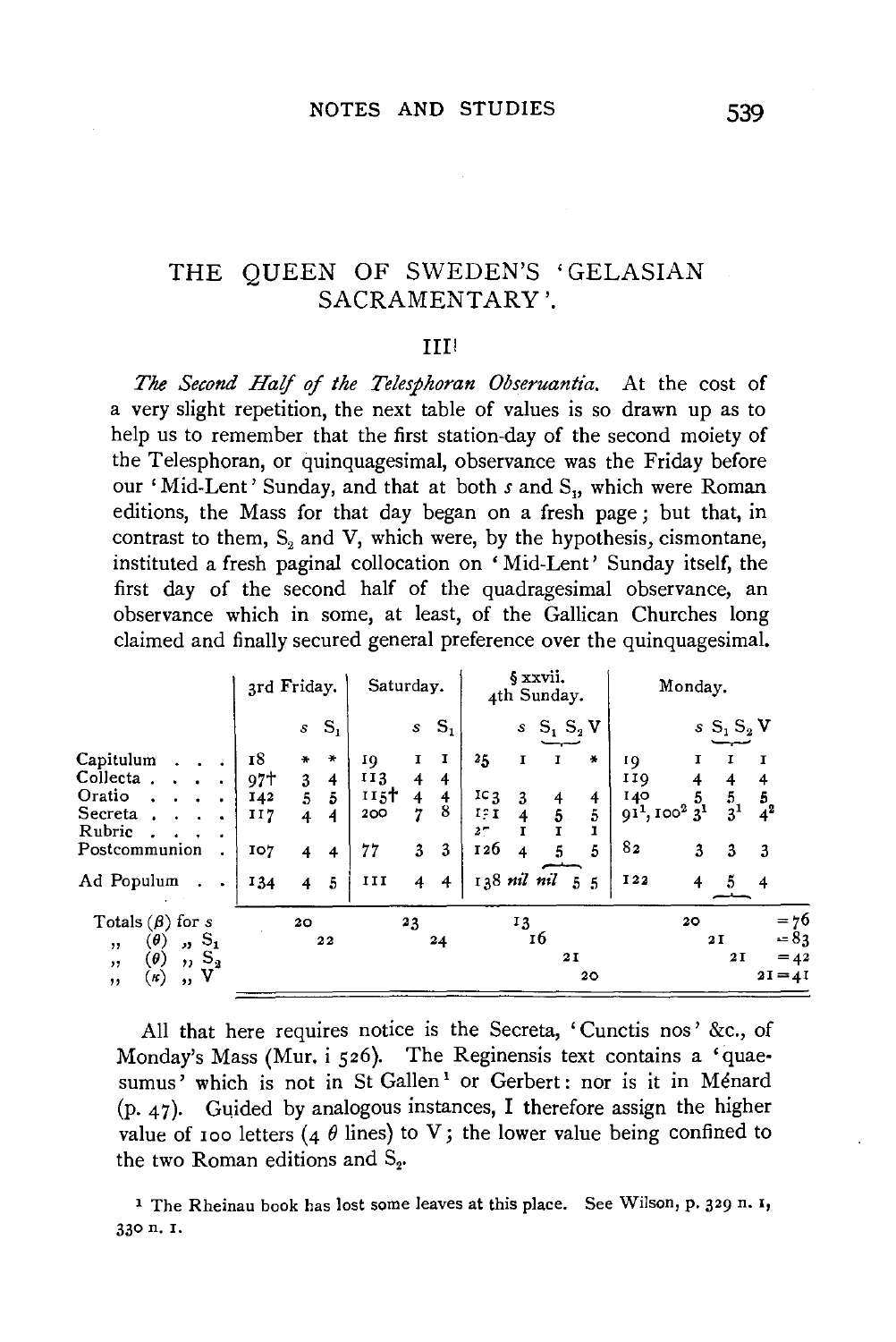### THE QUEEN OF SWEDEN'S 'GELASIAN SACRAMENTARY'.

#### IIII

*The Second Half of the Telesphoran Obseruantia.* At the cost of a very slight repetition, the next table of values is so drawn up as to help us to remember that the first station-day of the second moiety of the Telesphoran, or quinquagesimal, observance was the Friday before our 'Mid-Lent' Sunday, and that at both *s* and S<sub>1</sub>, which were Roman editions, the Mass for that day began on a fresh page; but that, in contrast to them,  $S<sub>2</sub>$  and V, which were, by the hypothesis, cismontane, instituted a fresh paginal collocation on 'Mid-Lent' Sunday itself, the first day of the second half of the quadragesimal observance, an observance which in some, at least, of the Gallican Churches long claimed and finally secured general preference over the quinquagesimal.

|                                                                                                                                                               |                                       | 3rd Friday.                                                                                                    | Saturday.                                                                                                     | § xxvii.<br>4th Sunday.                                                                                                                              | Monday.                                                                                                                                                 |
|---------------------------------------------------------------------------------------------------------------------------------------------------------------|---------------------------------------|----------------------------------------------------------------------------------------------------------------|---------------------------------------------------------------------------------------------------------------|------------------------------------------------------------------------------------------------------------------------------------------------------|---------------------------------------------------------------------------------------------------------------------------------------------------------|
|                                                                                                                                                               |                                       | $S_{1}$<br>$\mathcal{S}$                                                                                       | $S_1$<br>$\pmb{s}$                                                                                            | $S_1 S_2 V$<br>$\mathcal{S}$                                                                                                                         | $s S_1 S_2 V$                                                                                                                                           |
| Capitulum<br>Collecta<br>Oratio<br>٠<br>Secreta<br>$\bullet$<br>Rubric<br>۰<br>Postcommunion<br>Ad Populum                                                    | 18<br>97ተ<br>I42<br>II7<br>107<br>134 | $\ast$<br>÷<br>3<br>4<br>5<br>5<br>$\overline{4}$<br>4<br>$\overline{\mathbf{4}}$<br>4<br>$\overline{4}$<br>-5 | I<br>1<br>10<br>113<br>4<br>4<br>115 <sup>†</sup><br>4<br>4<br>8<br>7<br>200<br>77<br>3<br>3<br>III<br>4<br>4 | 25<br>∗<br>1<br>$\mathbf{I}$<br>$_{1c_{3}}$<br>3<br>4<br>4<br>5<br>5.<br>19 I<br>1<br>2-<br>126<br>5<br>5<br>$\overline{4}$<br>138 nil nil<br>5<br>5 | 01<br>110<br>4<br>$\frac{5}{3}$ <sup>1</sup><br>5<br>140<br>$\frac{5}{4}$ <sup>2</sup><br>$91^{1}, 100^{2} 3^{1}$<br>82<br>3<br>3<br>3<br>I22<br>4<br>4 |
| Totals $(\beta)$ for s<br>s,<br>$(\boldsymbol{\theta})$<br>$\mathbf{v}$<br>, ,<br>$\mathbf{S_2}$<br>(θ)<br>$, \, \cdot$<br>, ,<br>v<br>$\kappa)$<br>, ,<br>,, |                                       | 20<br>22                                                                                                       | 23<br>24                                                                                                      | 13<br>16<br>21<br>20                                                                                                                                 | $= 76$<br>20<br>$-83$<br>2I<br>2 I<br>$= 42$<br>$2I = 4I$                                                                                               |

All that here requires notice is the Secreta, 'Cunctis nos' &c., of Monday's Mass (Mur. i 526). The Reginensis text contains a 'quae· sumus' which is not in St Gallen<sup>1</sup> or Gerbert: nor is it in Ménard  $(p, 47)$ . Guided by analogous instances, I therefore assign the higher value of 100 letters (4  $\theta$  lines) to V; the lower value being confined to the two Roman editions and  $S_{2}$ 

<sup>1</sup> The Rheinau book has lost some leaves at this place. See Wilson, p. 329 n. 1, 330 n. I.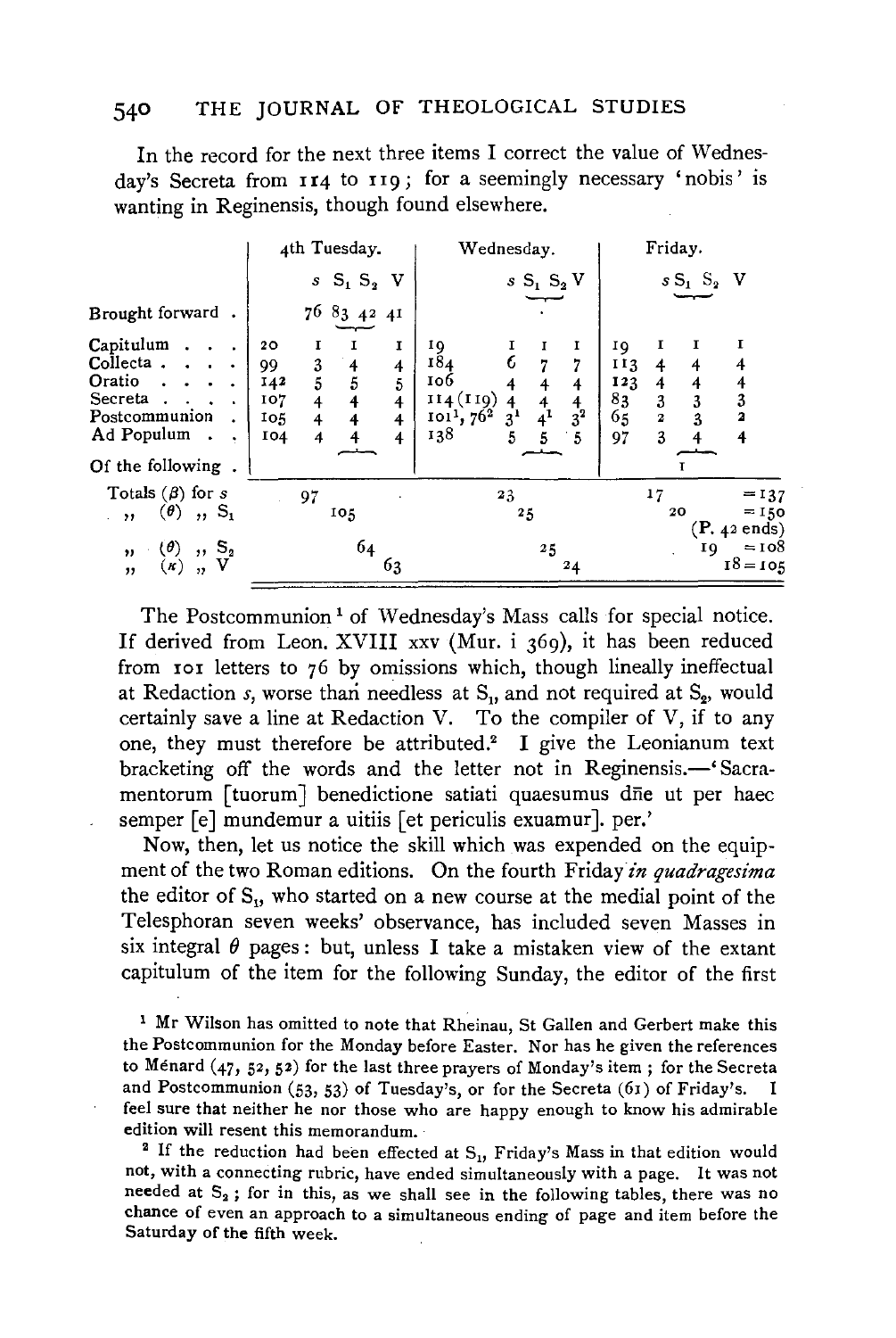In the record for the next three items I correct the value of Wednesday's Secreta from  $II4$  to  $II9$ ; for a seemingly necessary 'nobis' is wanting in Reginensis, though found elsewhere.

|                                                                                                                                                     | 4th Tuesday.                                                                                                                                                                   | Wednesday.                                                                                                                                                                                                     | Friday.                                                                                                   |
|-----------------------------------------------------------------------------------------------------------------------------------------------------|--------------------------------------------------------------------------------------------------------------------------------------------------------------------------------|----------------------------------------------------------------------------------------------------------------------------------------------------------------------------------------------------------------|-----------------------------------------------------------------------------------------------------------|
|                                                                                                                                                     | $sS_1S_2V$                                                                                                                                                                     | $sS_1S_2V$                                                                                                                                                                                                     | $sS_1S_2V$                                                                                                |
| Brought forward.                                                                                                                                    | $76\text{ }83\text{ }42\text{ }41$                                                                                                                                             |                                                                                                                                                                                                                |                                                                                                           |
| Capitulum.<br>$\ddot{\phantom{a}}$<br>Collecta.<br>$\sim$ $\sim$ $\sim$<br>Oratio.<br>Secreta.<br>Postcommunion<br>Ad Populum.<br>Of the following. | I<br>20 <sub>o</sub><br>1<br>1<br>3<br>5<br>99<br>4<br>4<br>5<br>5<br>142<br>107<br>$\overline{4}$<br>$\overline{\mathbf{4}}$<br>4<br>4<br>105<br>4<br>4<br>I04<br>4<br>4<br>4 | ΙQ<br>1<br>184<br>$\overline{7}$<br>7<br>106<br>$\overline{4}$<br>$\overline{4}$<br>114(110)<br>$\frac{4}{4}$ <sup>1</sup><br>$\frac{4}{3}^{2}$<br>4<br>3 <sup>1</sup><br>$1011$ , $762$<br>138<br>5<br>5<br>5 | ΙQ<br>113<br>4<br>4<br>123<br>4<br>4<br>83<br>3<br>3<br>3<br>65<br>3<br>2<br>$\mathbf{z}$<br>3<br>97<br>4 |
| Totals $(\beta)$ for s<br>$(\theta)$ , $S_1$<br>$\cdots$                                                                                            | 97<br>105                                                                                                                                                                      | 23<br>25                                                                                                                                                                                                       | 17<br>$= 137$<br>$= 150$<br>20<br>$(P. 42 \text{ ends})$                                                  |
| $\begin{array}{c} (\theta)$ , $S_2$<br>$(\kappa)$ , $V$<br>$\mathbf{v}$<br>,                                                                        | 64<br>63                                                                                                                                                                       | 25<br>24                                                                                                                                                                                                       | $= 108$<br>ΙQ<br>$18 - 105$                                                                               |

The Postcommunion<sup>1</sup> of Wednesday's Mass calls for special notice. If derived from Leon. XVIII xxv (Mur. i 369), it has been reduced from 101 letters to 76 by omissions which, though lineally ineffectual at Redaction *s*, worse than needless at S<sub>1</sub>, and not required at S<sub>2</sub>, would certainly save a line at Redaction V. To the compiler of V, if to any one, they must therefore be attributed.2 I give the Leonianum text bracketing off the words and the letter not in Reginensis.—
Sacramentorum [tuorum] benedictione satiati quaesumus dne ut per haec semper [e] mundemur a uitiis [et periculis exuamur]. per.'

Now, then, let us notice the skill which was expended on the equipment of the two Roman editions. On the fourth Friday in quadragesima the editor of  $S_{ij}$ , who started on a new course at the medial point of the Telesphoran seven weeks' observance, has included seven Masses in six integral  $\theta$  pages : but, unless I take a mistaken view of the extant capitulum of the item for the following Sunday, the editor of the first

<sup>1</sup> Mr Wilson has omitted to note that Rheinau, St Gallen and Gerbert make this the Postcommunion for the Monday before Easter. Nor has he given the references to Menard (47, 52, 52) for the last three prayers of Monday's item; for the Secreta and Postcommunion (53, 53) of Tuesday's, or for the Secreta (61) of Friday's. feel sure that neither he nor those who are happy enough to know his admirable edition will resent this memorandum.<br><sup>2</sup> If the reduction had been effected at S<sub>1</sub>, Friday's Mass in that edition would

not, with a connecting rubric, have ended simultaneously with a page. It was not needed at  $S_2$ ; for in this, as we shall see in the following tables, there was no chance of even an approach to a simultaneous ending of page and item before the Saturday of the fifth week.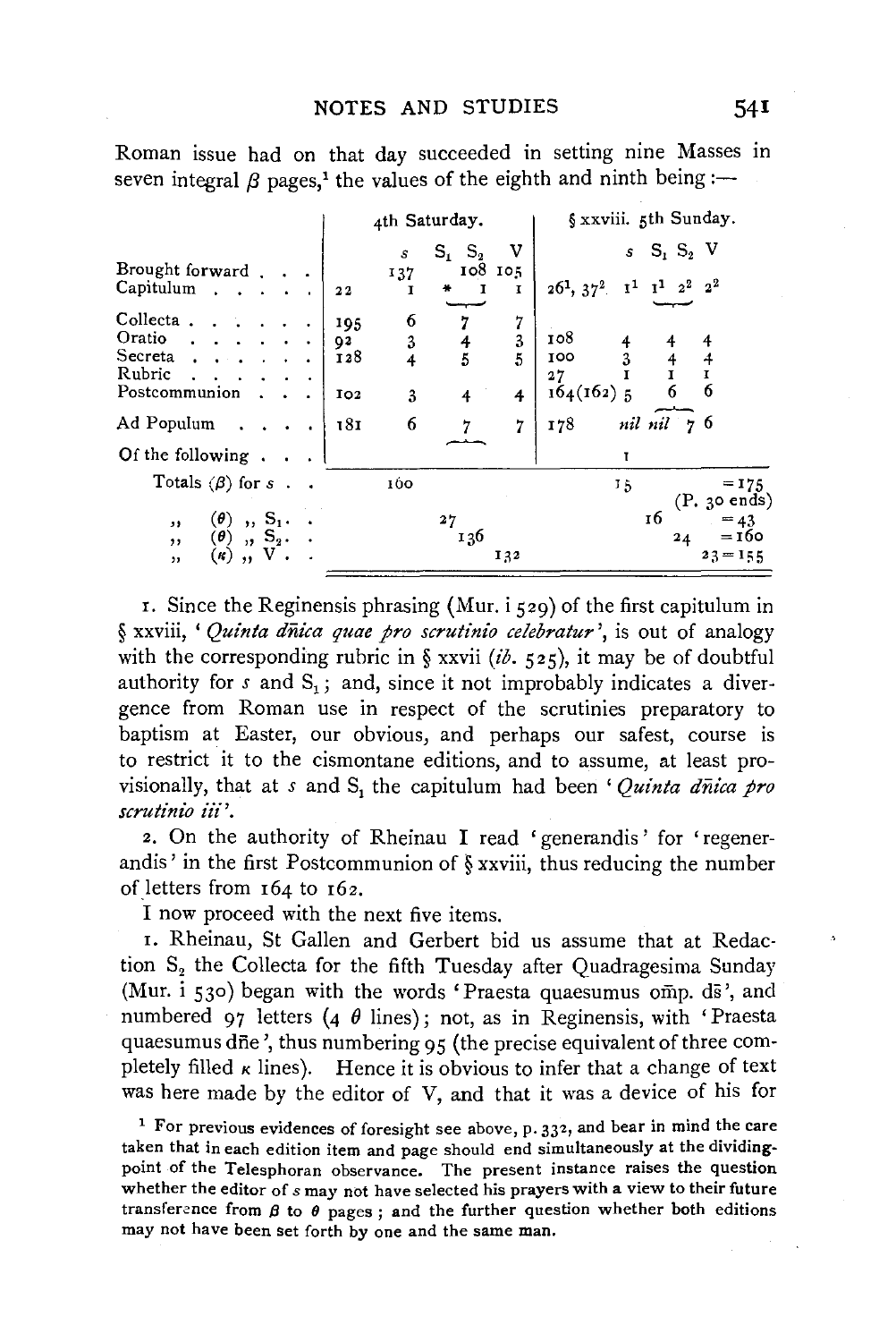Roman issue had on that day succeeded in setting nine Masses m seven integral  $\beta$  pages,<sup>1</sup> the values of the eighth and ninth being :-

|                                                                                                                                                                                | 4th Saturday.                                                                                                                                                                                                                 | § xxviii. 5th Sunday.                                                                                                                                                                                 |
|--------------------------------------------------------------------------------------------------------------------------------------------------------------------------------|-------------------------------------------------------------------------------------------------------------------------------------------------------------------------------------------------------------------------------|-------------------------------------------------------------------------------------------------------------------------------------------------------------------------------------------------------|
| Brought forward.<br>Capitulum<br>Collecta.<br>Oratio<br>Secreta<br>Rubric<br>Postcommunion<br>Ad Populum                                                                       | v<br>$\mathbf{S_2}$<br>$S_1$<br>$\boldsymbol{s}$<br>108 105<br>137<br>1<br>₩<br>1<br>22<br>6<br>7<br>7<br>195<br>3<br>3<br>92<br>4<br>5<br>5<br>128<br>$\overline{4}$<br>3<br>IO <sub>2</sub><br>4<br>4<br>6<br>181<br>7<br>ל | $s$ S <sub>1</sub> S <sub>2</sub> V<br>$1^1$ $2^2$ $2^2$<br>$\mathbf{1}^1$<br>$26^1$ , $37^2$<br>108<br>4<br>100<br>3<br>$\frac{4}{1}$<br>4<br>I<br>27<br>6<br>6<br>$164(162)$ 5<br>nil nil 76<br>178 |
| Of the following.                                                                                                                                                              |                                                                                                                                                                                                                               | T                                                                                                                                                                                                     |
| Totals $(\beta)$ for s.<br>$\left( \boldsymbol{\theta}\right)$<br>$\,$ , $S_1$ .<br>,,<br>$, S2$ .<br>$\left(\boldsymbol{\theta}\right)$<br>, ,<br>$\kappa$ )<br>, ,<br>$, \,$ | 160<br>27<br>136<br>132                                                                                                                                                                                                       | $= 175$<br>15<br>(P. 30 ends)<br>16<br>$= 43$<br>$= 160$<br>24<br>$23 = 155$                                                                                                                          |

r. Since the Reginensis phrasing (Mur.  $i$   $\zeta$ 29) of the first capitulum in § xxviii, ' *Quinta diiica quae pro scrutinio celebratur* ', is out of analogy with the corresponding rubric in § xxvii (ib. 525), it may be of doubtful authority for  $s$  and  $S_1$ ; and, since it not improbably indicates a divergence from Roman use in respect of the scrutinies preparatory to baptism at Easter, our obvious, and perhaps our safest, course is to restrict it to the cismontane editions, and to assume, at least provisionally, that at *s* and S<sub>1</sub> the capitulum had been ' *Quinta dnica pro scrutini'o* iii '.

2. On the authority of Rheinau I read 'generandis' for 'regenerandis' in the first Postcommunion of  $\S$  xxviii, thus reducing the number of letters from 164 to 162.

I now proceed with the next five items.

r. Rheinau, St Gallen and Gerbert bid us assume that at Redaction  $S_2$  the Collecta for the fifth Tuesday after Quadragesima Sunday (Mur. i 530) began with the words 'Praesta quaesumus omp. ds', and numbered 97 letters (4  $\theta$  lines); not, as in Reginensis, with 'Praesta quaesumus dne', thus numbering 95 (the precise equivalent of three completely filled  $\kappa$  lines). Hence it is obvious to infer that a change of text was here made by the editor of V, and that it was a device of his for

<sup>1</sup> For previous evidences of foresight see above, p.  $33<sup>2</sup>$ , and bear in mind the care taken that in each edition item and page should end simultaneously at the dividingpoint of the Telesphoran observance. The present instance raises the question whether the editor of *s* may not have selected his prayers with a view to their future transference from  $\beta$  to  $\theta$  pages; and the further question whether both editions may not have been set forth by one and the same man.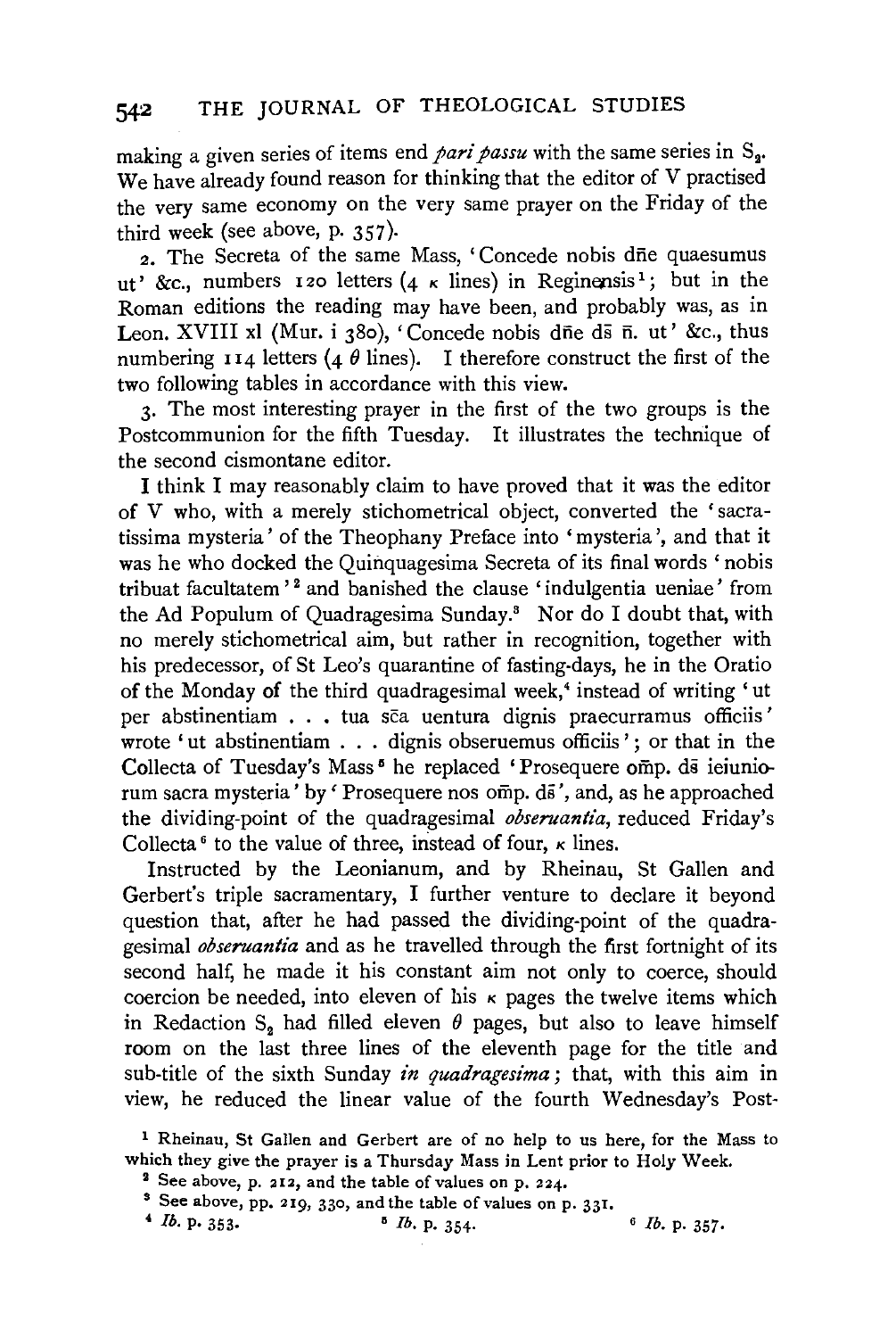making a given series of items end *pari passu* with the same series in S<sub>2</sub>. We have already found reason for thinking that the editor of V practised the very same economy on the very same prayer on the Friday of the third week (see above, p. 357).

2. The Secreta of the same Mass, 'Concede nobis dne quaesumus ut' &c., numbers 120 letters (4  $\kappa$  lines) in Reginensis<sup>1</sup>; but in the Roman editions the reading may have been, and probably was, as in Leon. XVIII xl (Mur. i 380), 'Concede nobis dne ds n. ut' &c., thus numbering 114 letters (4  $\theta$  lines). I therefore construct the first of the two following tables in accordance with this view.

3· The most interesting prayer in the first of the two groups is the Postcommunion for the fifth Tuesday. It illustrates the technique of the second cismontane editor.

I think I may reasonably claim to have proved that it was the editor of V who, with a merely stichometrical object, converted the 'sacratissima mysteria' of the Theophany Preface into 'mysteria ', and that it was he who docked the Quinquagesima Secreta of its final words ' nobis tribuat facultatem<sup>'</sup> and banished the clause 'indulgentia ueniae' from the Ad Populum of Quadragesima Sunday.8 Nor do I doubt that, with no merely stichometrical aim, but rather in recognition, together with his predecessor, of St Leo's quarantine of fasting-days, he in the Oratio of the Monday of the third quadragesimal week,<sup>4</sup> instead of writing 'ut per abstinentiam . . . tua sca uentura dignis praecurramus officiis' wrote 'ut abstinentiam . . . dignis obseruemus officiis'; or that in the Collecta of Tuesday's Mass<sup>5</sup> he replaced 'Prosequere omp. ds ieiuniorum sacra mysteria' by 'Prosequere nos omp. ds', and, as he approached the dividing-point of the quadragesimal *obseruantia,* reduced Friday's Collecta<sup>6</sup> to the value of three, instead of four,  $\kappa$  lines.

Instructed by the Leonianum, and by Rheinau, St Gallen and Gerbert's triple sacramentary, I further venture to declare it beyond question that, after he had passed the dividing-point of the quadragesimal *obseruantia* and as he travelled through the first fortnight of its second half, he made it his constant aim not only to coerce, should coercion be needed, into eleven of his  $\kappa$  pages the twelve items which in Redaction S<sub>2</sub> had filled eleven  $\theta$  pages, but also to leave himself room on the last three lines of the eleventh page for the title and sub-title of the sixth Sunday *in quadragesima;* that, with this aim in view, he reduced the linear value of the fourth Wednesday's Post-

1 Rheinau, St Gallen and Gerbert are of no help to us here, for the Mass to which they give the prayer is a Thursday Mass in Lent prior to Holy Week.<br><sup>2</sup> See above, p. 212, and the table of values on p. 224.

<sup>3</sup> See above, pp. 219, 330, and the table of values on p. 331.<br>
4 *lb.* p. 353.<br>
<sup>5</sup> *lb.* p. 354.<br>
<sup>5</sup> *lb.* p. 357.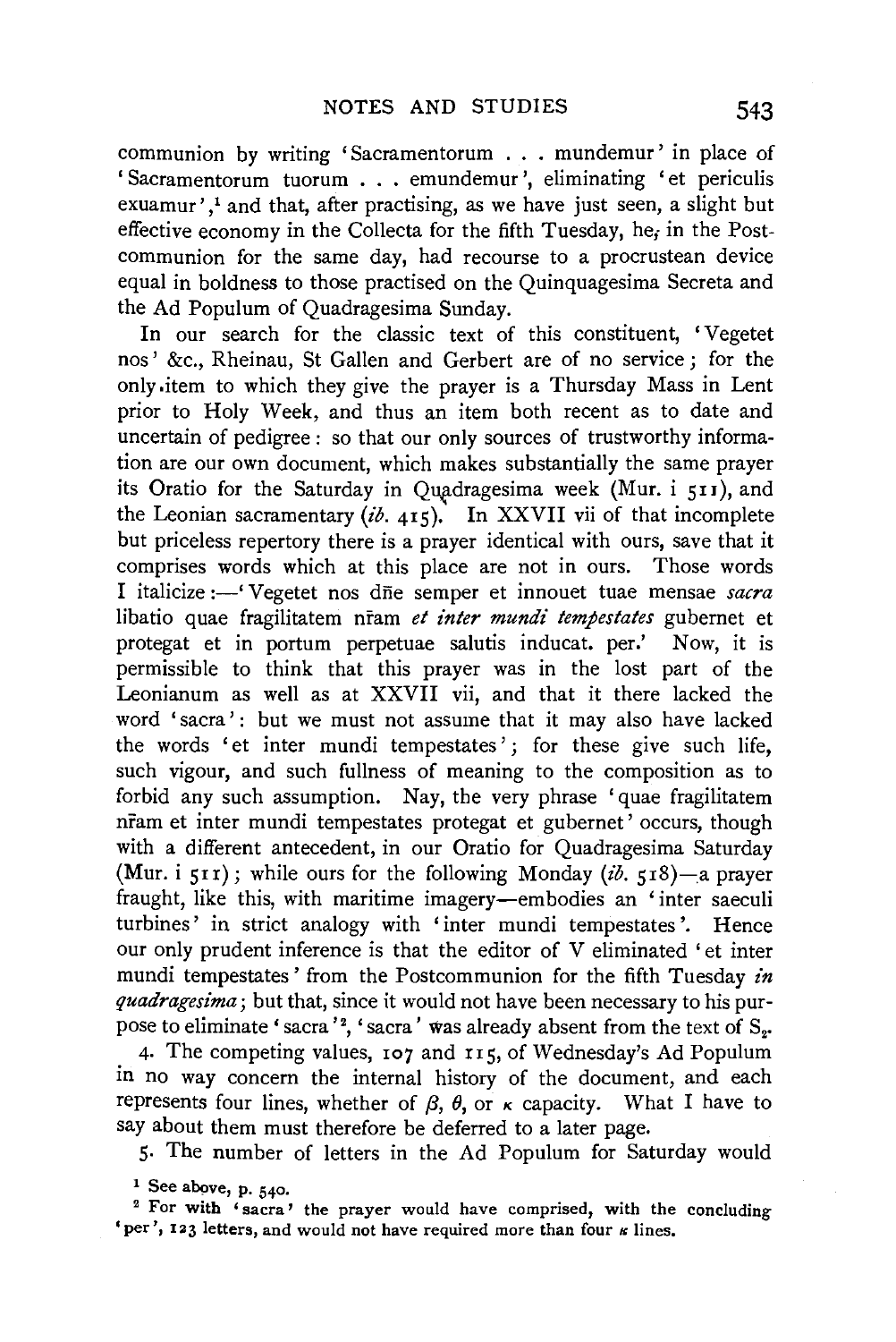communion by writing 'Sacramentorum . . . mundemur' in place of 'Sacramentorum tuorum . . . emundemur ', eliminating 'et periculis exuamur',<sup>1</sup> and that, after practising, as we have just seen, a slight but effective economy in the Collecta for the fifth Tuesday, he; in the Postcommunion for the same day, had recourse to a procrustean device equal in boldness to those practised on the Quinquagesima Secreta and the Ad Populum of Quadragesima Sunday.

In our search for the classic text of this constituent, 'Vegetet nos ' &c., Rheinau, St Gallen and Gerbert are of no service ; for the only .item to which they give the prayer is a Thursday Mass in Lent prior to Holy Week, and thus an item both recent as to date and uncertain of pedigree : so that our only sources of trustworthy information are our own document, which makes substantially the same prayer its Oratio for the Saturday in Quadragesima week (Mur. i 511), and the Leonian sacramentary  $(i\delta, 415)$ . In XXVII vii of that incomplete but priceless repertory there is a prayer identical with ours, save that it comprises words which at this place are not in ours. Those words I italicize:-' Vegetet nos dne semper et innouet tuae mensae *sacra*  libatio quae fragilitatem nfam *et inter mundt' tempestates* gubernet et protegat et in portum perpetuae salutis inducat. per.' Now, it is permissible to think that this prayer was in the lost part of the Leonianum as well as at XXVII vii, and that it there lacked the word 'sacra': but we must not assume that it may also have lacked the words 'et inter mundi tempestates'; for these give such life, such vigour, and such fullness of meaning to the composition as to forbid any such assumption. Nay, the very phrase 'quae fragilitatem nram et inter mundi tempestates protegat et gubernet' occurs, though with a different antecedent, in our Oratio for Quadragesima Saturday (Mur. i 5II); while ours for the following Monday *(t'b.* 518)-a prayer fraught, like this, with maritime imagery-embodies an 'inter saeculi turbines' in strict analogy with 'inter mundi tempestates '. Hence our only prudent inference is that the editor of V eliminated ' et inter mundi tempestates' from the Postcommunion for the fifth Tuesday *in quadragest'ma;* but that, since it would not have been necessary to his purpose to eliminate 'sacra '', 'sacra ' was already absent from the text of  $\mathrm{S_{2^{\ast}}}$ 

4. The competing values, 107 and 115, of Wednesday's Ad Populum in no way concern the internal history of the document, and each represents four lines, whether of  $\beta$ ,  $\theta$ , or  $\kappa$  capacity. What I have to say about them must therefore be deferred to a later page.

5· The number of letters in the Ad Populum for Saturday would

 $<sup>1</sup>$  See above, p. 540.</sup>

<sup>2</sup> For with 'sacra' the prayer would have comprised, with the concluding 'per', 123 letters, and would not have required more than four  $\kappa$  lines.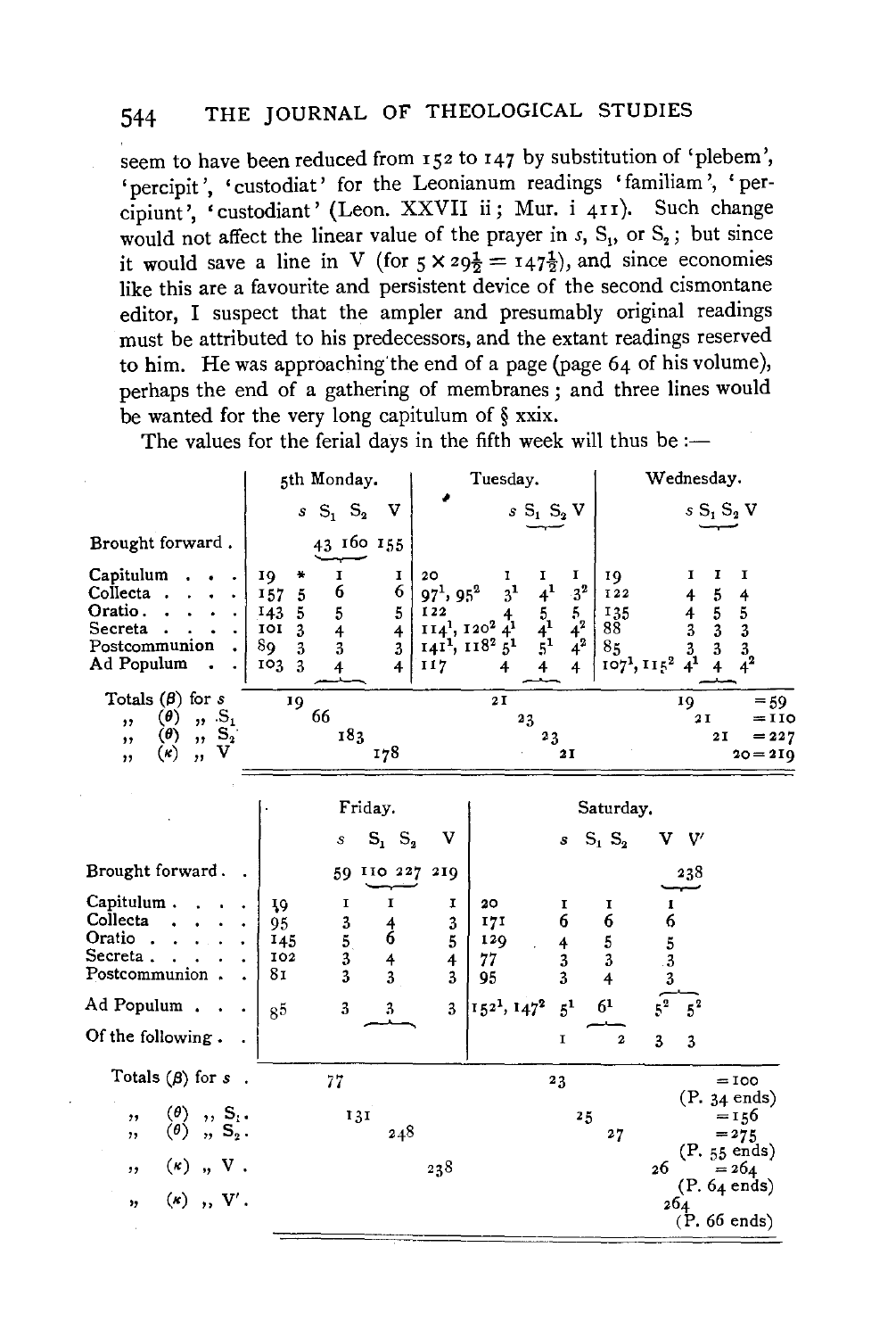seem to have been reduced from 152 to 147 by substitution of 'plebem', 'percipit', 'custodiat' for the Leonianum readings 'familiam', 'percipiunt', 'custodiant' (Leon. XXVII ii; Mur. i 411). Such change would not affect the linear value of the prayer in  $s$ ,  $S_1$ , or  $S_2$ ; but since it would save a line in V (for  $5 \times 29\frac{1}{2} = 147\frac{1}{2}$ ), and since economies like this are a favourite and persistent device of the second cismontane editor, I suspect that the ampler and presumably original readings must be attributed to his predecessors, and the extant readings reserved to him. He was approaching' the end of a page (page 64 of his volume), perhaps the end of a gathering of membranes; and three lines would be wanted for the very long capitulum of § xxix.

The values for the ferial days in the fifth week will thus be :-

|                                                                                                                                                  | 5th Monday.                                                                                                                                  | Tuesday.                                                                                                                                                           | Wednesday.                                                                                                                                                                                                                                                                                |
|--------------------------------------------------------------------------------------------------------------------------------------------------|----------------------------------------------------------------------------------------------------------------------------------------------|--------------------------------------------------------------------------------------------------------------------------------------------------------------------|-------------------------------------------------------------------------------------------------------------------------------------------------------------------------------------------------------------------------------------------------------------------------------------------|
|                                                                                                                                                  | $sS_1S_2$<br>v                                                                                                                               | $sS_1S_2V$                                                                                                                                                         | $sS_1S_2V$                                                                                                                                                                                                                                                                                |
| Brought forward.                                                                                                                                 | 43 160 155                                                                                                                                   |                                                                                                                                                                    |                                                                                                                                                                                                                                                                                           |
| Capitulum<br>Collecta<br>Oratio.<br>Secreta<br>Postcommunion<br>Ad Populum                                                                       | I<br>19<br>1<br>÷<br>6<br>6<br>157<br>5<br>143<br>5<br>5<br>5<br>101<br>3<br>$\overline{4}$<br>4<br>89<br>3<br>3<br>3<br>103<br>-3<br>4<br>4 | 20<br>1<br>1<br>ı<br>$4^1$<br>$3^{1}$<br>$97^1, 95^2$<br>I <sub>22</sub><br>$\frac{5}{4}$<br>$\frac{4}{5}$<br>$114^{1}, 120^{2}$<br>1411, 1182 51<br>117<br>4<br>4 | I<br>I<br>1<br>19<br>$3^2$<br>$\sqrt{5}$<br><b>122</b><br>4<br>4<br>$\begin{array}{c} 5 \\ 3 \\ 3 \end{array}$<br>$\frac{4}{3}$<br>$\frac{5}{3}$<br>135<br>$\frac{5}{4^2}$<br>88<br>$\frac{3}{4}$ <sup>1</sup><br>$\frac{3}{4}$ <sup>2</sup><br>85<br>107 <sup>1</sup> , 115 <sup>2</sup> |
| Totals $(\beta)$ for s<br>$\pmb{(0)}$<br>$n S_1$<br>, ,<br>$\left( \theta \right)$<br>$\mathbf{S}_{2}$<br>,,<br>,,<br>v<br>$(\kappa)$<br>,<br>,, | 19<br>66<br>183<br>178                                                                                                                       | $2\,\mathrm{I}$<br>23<br>$^{2}3$<br>21                                                                                                                             | $= 59$<br>19<br>2 I<br>$=$ 110<br>2I<br>$= 227$<br>$20 = 210$                                                                                                                                                                                                                             |
|                                                                                                                                                  | Friday.                                                                                                                                      |                                                                                                                                                                    | Saturday.                                                                                                                                                                                                                                                                                 |
|                                                                                                                                                  | $S_1$ $S_2$<br>s                                                                                                                             | v<br>s                                                                                                                                                             | $S_1$ , $S_2$<br>V.<br>V                                                                                                                                                                                                                                                                  |
| Brought forward.                                                                                                                                 | 59 110 227                                                                                                                                   | 2IQ                                                                                                                                                                | 238                                                                                                                                                                                                                                                                                       |
| Capitulum.<br>Collecta<br>Oratio.<br>Secreta.<br>Postcommunion.                                                                                  | I<br>19<br>1<br>$\frac{3}{5}$<br>95<br>$\frac{4}{6}$<br>145<br>3<br>102<br>4<br>81<br>3<br>3                                                 | 20<br>1<br>1<br>6<br>171<br>3<br>5<br>129<br>4<br>$\overline{4}$<br>77<br>3<br>3<br>95<br>3                                                                        | 1<br>1<br>6<br>6<br>5<br>$\frac{5}{3}$<br>$\overline{\mathbf{3}}$<br>3<br>4                                                                                                                                                                                                               |
| Ad Populum.                                                                                                                                      | 3<br>3<br>8 <sub>5</sub>                                                                                                                     | $1521$ , $1472$<br>$5^{1}$<br>3                                                                                                                                    | $\sqrt{s}^2$<br>6 <sup>1</sup><br>$5^2$                                                                                                                                                                                                                                                   |
| Of the following.                                                                                                                                |                                                                                                                                              | I                                                                                                                                                                  | $\overline{\mathbf{z}}$<br>3<br>3                                                                                                                                                                                                                                                         |
| Totals $(\beta)$ for s<br>$\ddot{\phantom{1}}$                                                                                                   | 77                                                                                                                                           | 23                                                                                                                                                                 | $=100$                                                                                                                                                                                                                                                                                    |
| $\begin{array}{c} (\theta) \\ (\theta) \\ \end{array}$ , $\begin{array}{c} S_1 \\ S_2 \end{array}$<br>,,<br>,,<br>$(\kappa)$ , V.<br>, ,         | 131<br>248                                                                                                                                   | 238                                                                                                                                                                | $(P. 34 \text{ ends})$<br>25<br>$= 156$<br>27<br>$= 275$<br>(P. 55 ends)<br>26<br>$= 264$                                                                                                                                                                                                 |
| $(k)$ , V'.<br>"                                                                                                                                 |                                                                                                                                              |                                                                                                                                                                    | $(P. 64 \text{ ends})$<br>264<br>$(P. 66 \text{ ends})$                                                                                                                                                                                                                                   |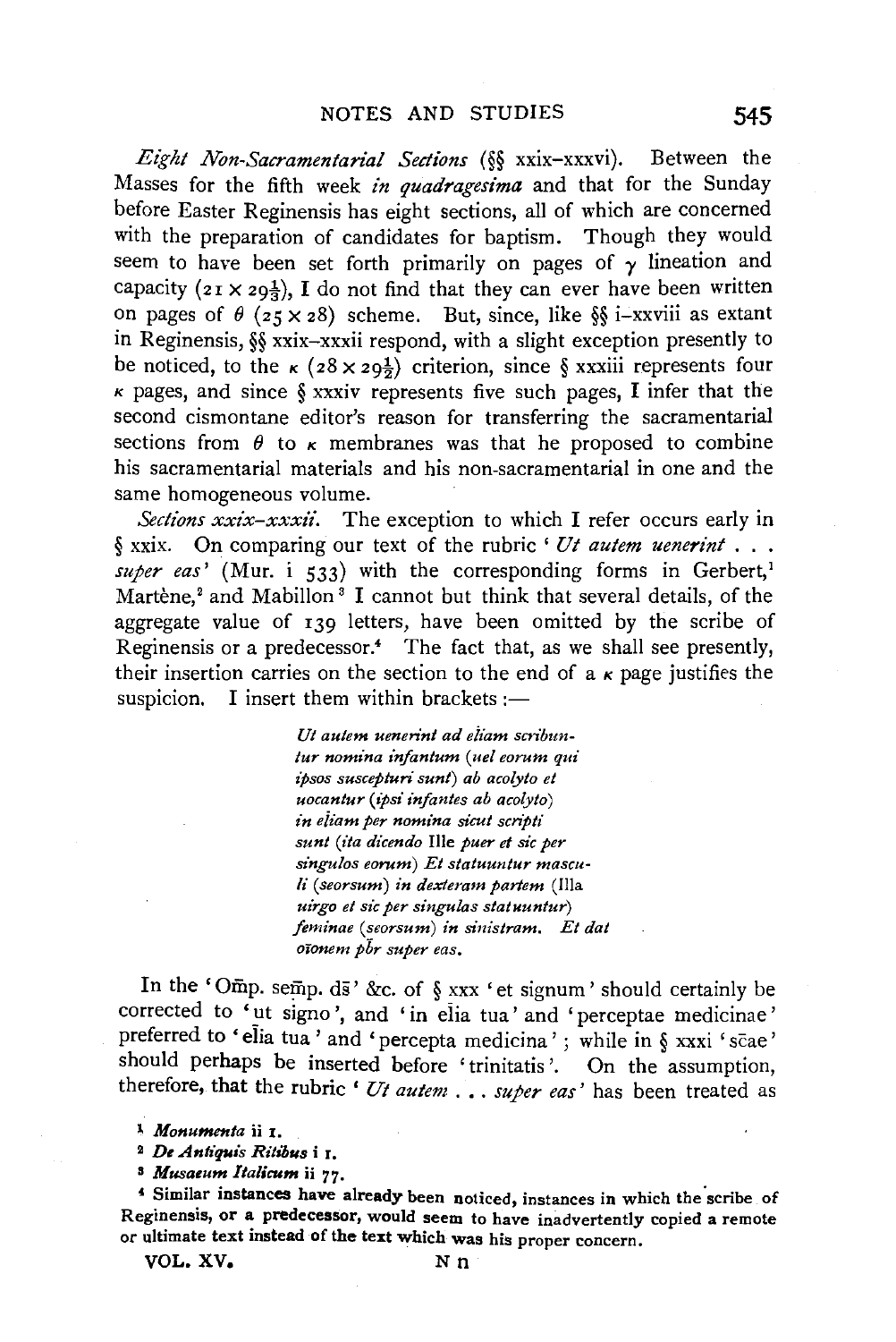*Eight Non-Sacramentarial Sections (§§* xxix-xxxvi). Between the Masses for the fifth week *in quadragesima* and that for the Sunday before Easter Reginensis has eight sections, all of which are concerned with the preparation of candidates for baptism. Though they would seem to have been set forth primarily on pages of  $\gamma$  lineation and capacity  $(z_1 \times z_0)$ , I do not find that they can ever have been written on pages of  $\theta$  ( $z \le x$  *z*8) scheme. But, since, like §§ i-xxviii as extant in Reginensis, §§ xxix-xxxii respond, with a slight exception presently to be noticed, to the  $\kappa$  ( $28 \times 29\frac{1}{2}$ ) criterion, since § xxxiii represents four  $\kappa$  pages, and since § xxxiv represents five such pages. I infer that the second cismontane editor's reason for transferring the sacramentarial sections from  $\theta$  to  $\kappa$  membranes was that he proposed to combine his sacramentarial materials and his non-sacramentarial in one and the same homogeneous volume.

*Sections xxix-xxxii.* The exception to which I refer occurs early in § xxix. On comparing our text of the rubric ' *Ut autem uenerint* . . . *super eas'* (Mur. i 533) with the corresponding forms in Gerbert,<sup>1</sup> Martène,<sup>2</sup> and Mabillon<sup>3</sup> I cannot but think that several details, of the aggregate value of 139 letters, have been omitted by the scribe of Reginensis or a predecessor.4 The fact that, as we shall see presently, their insertion carries on the section to the end of a  $\kappa$  page justifies the suspicion. I insert them within brackets :-

> *Ut autem uenerint ad eiiam scribuntur nomina infantum* ( *uel eo rum qui ipsos suscepturi sunt) ab acolyto et uocantur (ipsi infantes ab acolyto) in eiiam per nomina sicut scn'pti sunt (ita dicendo* Ille *puer et sic per singulos eorum) Et statuuntur masculi* ( *seorsum) in dexteram partem* (Ilia *uirgo et sic per singulas statuuntur) ftminae (seorsum) in siuistram. Et dat oionem pbr super eas,*

In the 'Omp. semp. ds' &c. of  $\S$  xxx 'et signum' should certainly be corrected to 'ut signo', and 'in elia tua' and 'perceptae medicinae' preferred to 'elia tua' and 'percepta medicina' ; while in § xxxi 'scae' should perhaps be inserted before 'trinitatis '. On the assumption, therefore, that the rubric ' *Ut autem* ... *super eas'* has been treated as

<sup>~</sup>*Monumenta* ii I.

<sup>&</sup>lt;sup>2</sup> De Antiquis Ritibus *i* 1.

<sup>&</sup>lt;sup>3</sup> Musaeum Italicum ii 77.<br><sup>4</sup> Similar instances have already been noticed, instances in which the scribe of Reginensis, or a predecessor, would seem to have inadvertently copied a remote or ultimate text instead of the text which was his proper concern.  $V = V \times V$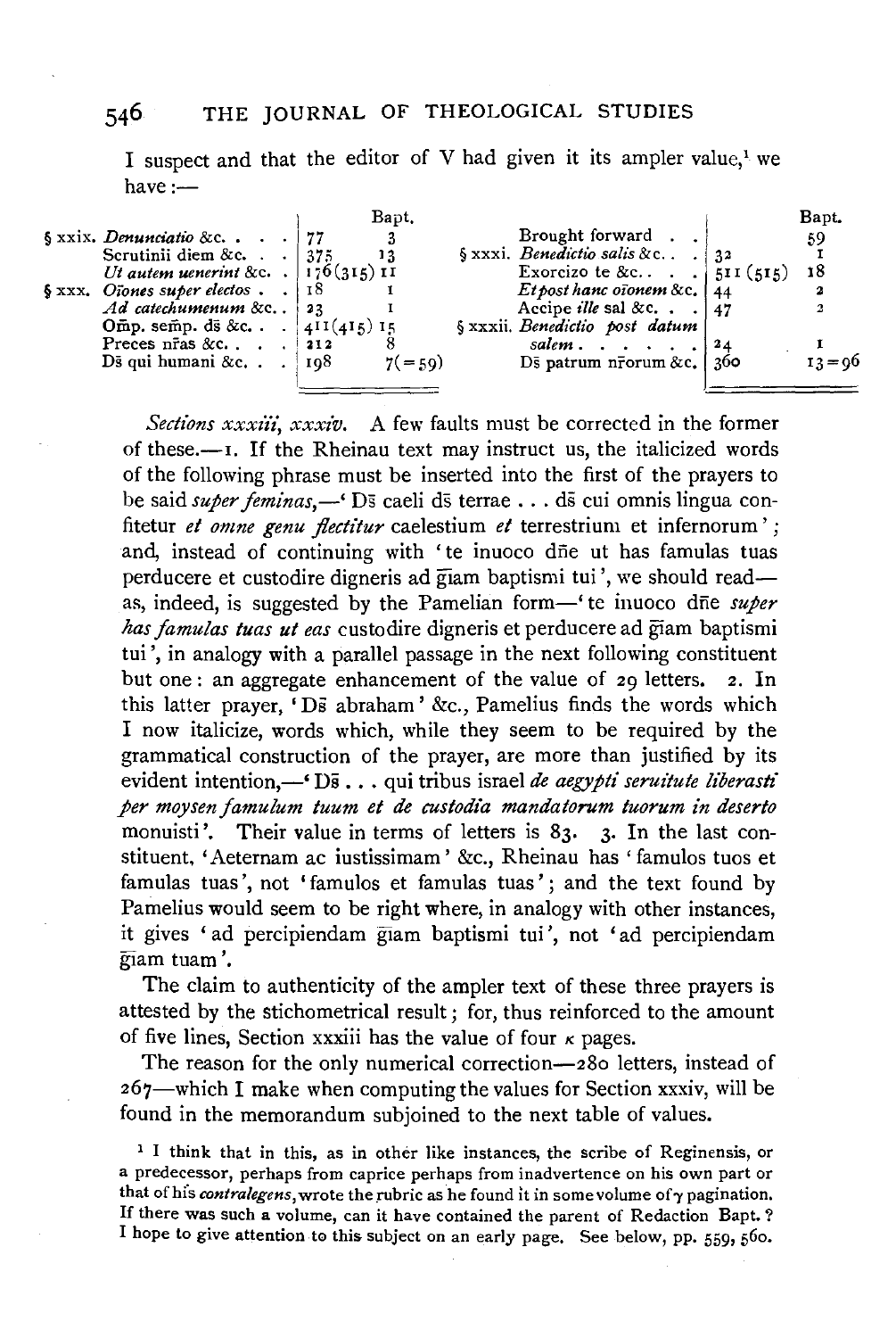I suspect and that the editor of V had given it its ampler value.<sup>1</sup> we  $have:$ 

|                                                 | Bapt.      |                                       |             | Bapt.     |
|-------------------------------------------------|------------|---------------------------------------|-------------|-----------|
| $\S$ xxix. Denunciatio &c 177                   |            | Brought forward                       |             | 59        |
| Scrutinii diem &c. $\therefore$ 375             |            | § xxxi. Benedictio salis & c          | $\sqrt{32}$ |           |
| Ut autem uenerint &c. $\vert 176(315) \vert 11$ |            | Exorcizo te &c $\blacksquare$ .       | 511(515)    | 18        |
| $\S$ xxx. Oiones super electos                  | 18         | Et post hanc of onem & c. $\vert$ 44  |             |           |
| Ad catechumenum &c 23                           |            | Accipe <i>ille</i> sal &c. $\vert$ 17 |             |           |
| Omp. semp. ds &c. $\{411(415)15\}$              |            | § xxxii. Benedictio post datum        |             |           |
| Preces $n\bar{r}$ as &c. 212                    |            | salem                                 | l 24.       |           |
| Ds qui humani &c. $\log 108$                    | $7( = 59)$ | Ds patrum n $\bar{r}$ orum &c.   360  |             | $13 = 06$ |
|                                                 |            |                                       |             |           |

*Sections xxxzi'i, xxxz'v.* A few faults must be corrected in the former of these. $\leftarrow$ I. If the Rheinau text may instruct us, the italicized words of the following phrase must be inserted into the first of the prayers to be said *super feminas*,—' Ds caeli ds terrae ... ds cui omnis lingua confitetur *et omne genu jlectitur* caelestium *et* terrestrium et infernorum' ; and, instead of continuing with 'te inuoco dne ut has famulas tuas perducere et custodire digneris ad giam baptismi tui ', we should readas, indeed, is suggested by the Pamelian form—' te inuoco dne *super has famulas tuas ut eas* custodire digneris et perducere ad giam baptismi tui', in analogy with a parallel passage in the next following constituent but one: an aggregate enhancement of the value of 29 letters. 2. In this latter prayer, 'Ds abraham' &c., Pamelius finds the words which I now italicize, words which, while they seem to be required by the grammatical construction of the prayer, are more than justified by its evident intention,-' Ds . . . qui tribus israel *de aegypti seruitute liberasti per moysen famulum tuum et de custodia mandatorum tuorum in deserto*  monuisti'. Their value in terms of letters is 83. 3. In the last constituent, 'Aeternam ac iustissimam' &c., Rheinau has ' famulos tuos et famulas tuas', not 'famulos et famulas tuas'; and the text found by Pamelius would seem to be right where, in analogy with other instances, it gives 'ad percipiendam giam baptismi tui ', not 'ad percipiendam giam tuam'.

The claim to authenticity of the ampler text of these three prayers is attested by the stichometrical result; for, thus reinforced to the amount of five lines, Section xxxiii has the value of four  $\kappa$  pages.

The reason for the only numerical correction-280 letters, instead of 267-which I make when computing the values for Section xxxiv, will be found in the memorandum subjoined to the next table of values.

<sup>1</sup> I think that in this, as in other like instances, the scribe of Reginensis, or a predecessor, perhaps from caprice perhaps from inadvertence on his own part or that of his *contralegens*, wrote the rubric as he found it in some volume of  $\gamma$  pagination. If there was such a volume, can it have contained the parent of Redaction Bapt. ? I hope to give attention to this subject on an early page. See below, pp. 559, 560.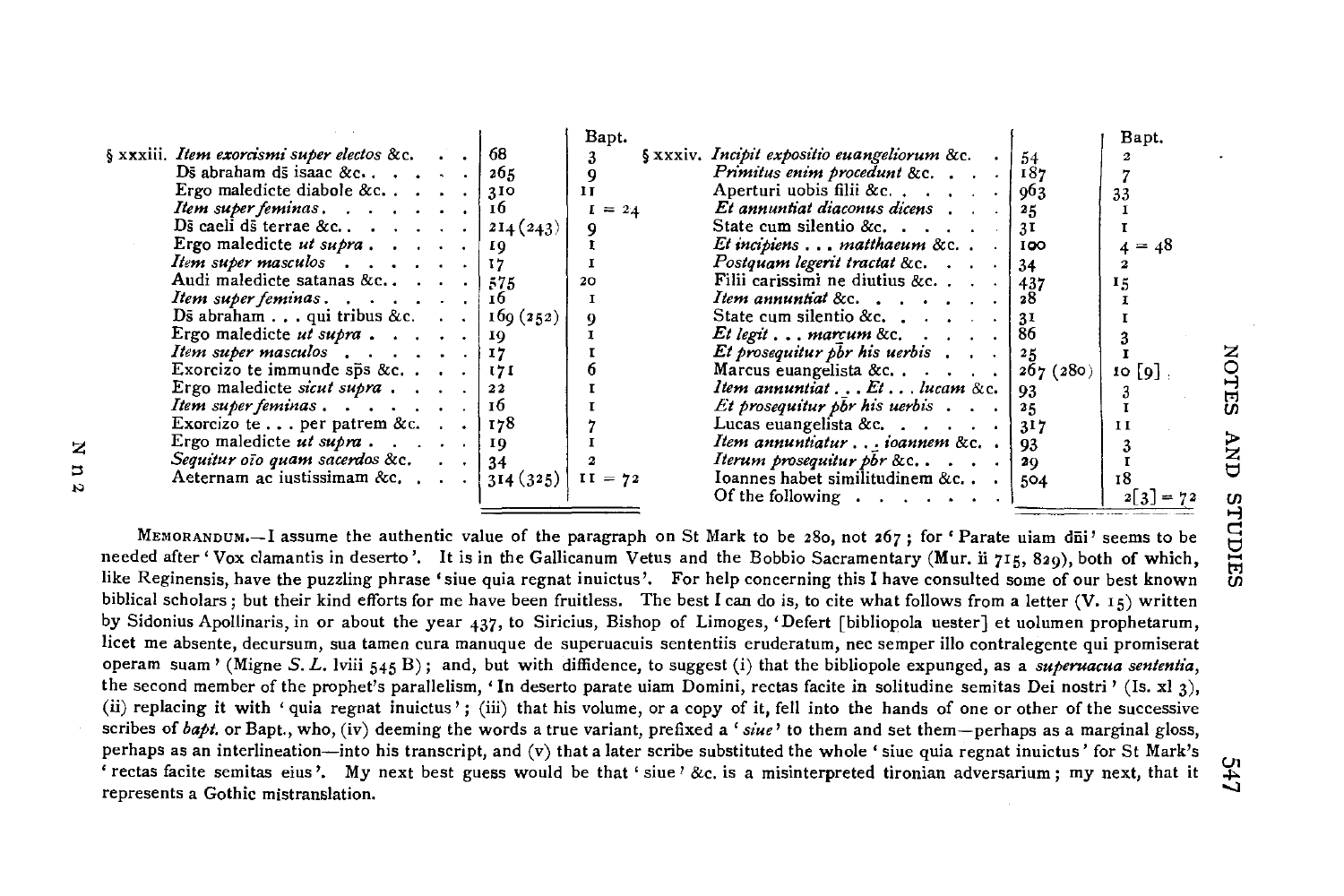|                                                          |      | Bapt.        |                                                                |          | Bapt.     |
|----------------------------------------------------------|------|--------------|----------------------------------------------------------------|----------|-----------|
| § xxxiii. Item exorcismi super electos &c.               |      | 3            | $\frac{1}{2}$ xxxiv. Incipit expositio euangeliorum &c. .   54 |          |           |
| Ds abraham ds isaac &c                                   | 265  |              |                                                                |          |           |
| Ergo maledicte diabole &c $\cdots$ : 310                 |      | $\mathbf{H}$ | Aperturi uobis filii &c $\vert$ 963                            |          | 33        |
| <i>Item super feminas.</i> $\ldots$ $\ldots$ $\ldots$ 16 |      | $= 24$       | Et annuntiat diaconus dicens contain-                          | 25       |           |
| Ds caeli ds terrae & c $ 214(243) $                      |      |              | State cum silentio &c.                                         | 3I       |           |
| Ergo maledicte ut supra 19                               |      |              | Et incipiens matthaeum &c. .                                   | 100      | $4 = 48$  |
| Item super masculos $\ldots$ $\ldots$ $\lfloor$ 17       |      |              | Postquam legerit tractat &c.                                   | -34      |           |
| Audi maledicte satanas &c $\cdots$ . 375                 |      | 20           | Filii carissimi ne diutius &c. $\ldots$                        | 437      | 15        |
| Item super feminas                                       | -16  |              | <i>Item annuntial</i> &c. $\ldots$                             | -28      |           |
| Ds abraham qui tribus &c.   169 (252)                    |      |              | State cum silentio &c. $\ldots$ : 31                           |          |           |
| Ergo maledicte ut supra 19                               |      |              | $Et$ legit $\ldots$ marcum &c. $\ldots$ .                      | 86       |           |
| <i>Item super masculos</i> 17                            |      |              | Et prosequitur pbr his uerbis $\ldots$   25                    |          |           |
| Exorcizo te immunde sp̃s &c.   171                       |      |              | Marcus euangelista &c. $\vert$                                 | 267(280) | $10$ [9]. |
| Ergo maledicte sicut supra 22                            |      |              | Item annuntiat $\ldots$ Et $\ldots$ lucam &c.                  | 93       |           |
| Item super feminas $\ldots$ , $\ldots$                   | - 16 |              | <i>Et prosequitur pbr his uerbis</i> 25                        |          |           |
| Exorcizo te per patrem &c.   178                         |      |              | Lucas euangelista &c. $\ldots$ , $\frac{1317}{2}$              |          | 1 I       |
| Ergo maledicte ut supra 19                               |      |              | Item annuntiaturioannem &c                                     | 93       |           |
| Sequitur oto quam sacerdos &c. $\ldots$   34             |      |              | <i>Iterum prosequitur pbr &amp;c</i> .                         | -20      |           |
| Aeternam ac iustissimam &c. $ 314(325) $                 |      | $II = 72$    | Ioannes habet similitudinem &c                                 | 504      | 18        |
|                                                          |      |              | Of the following $\ldots$ , $\ldots$ , $\vdots$                |          |           |
|                                                          |      |              |                                                                |          |           |

z  $\overline{u}$ N

> MEMORANDUM.-I assume the authentic value of the paragraph on St Mark to be 280, not 267; for 'Parate uiam dūi' seems to be needed after' Vox clamantis in deserto '. It is in the Gallicanum Vetus and the Bobbio Sacramentary (Mur. ii 715, 829), both of which, like Reginensis, have the puzzling phrase 'siue quia regnat inuictus '. For help concerning this I have consulted some of our best known biblical scholars; but their kind efforts for me have been fruitless. The best I can do is, to cite what follows from a letter  $(V, 15)$  written by Sidonius Apollinaris, in or about the year 437, to Siricius, Bishop of Limoges, 'Defert [bibliopola uester] et uolumen prophetarum, licet me absente, decursum, sua tamen cura manuque de superuacuis sententiis eruderatum, nee semper illo contralegente qui promiserat operam suam' (Migne *5. L.* lviii 545 B); and, but with diffidence, to suggest (i) that the bibliopole expunged, as a *superuacua sententia,*  the second member of the prophet's parallelism, 'In deserto parate uiam Domini, rectas facite in solitudine semitas Dei nostri' (Is. xi 3), (ii) replacing it with 'quia regnat inuictus'; (iii) that his volume, or a copy of it, fell into the hands of one or other of the successive scribes of *bapt.* or Bapt., who, (iv) deeming the words a true variant, prefixed a' *siue'* to them and set them-perhaps as a marginal gloss, perhaps as an interlineation—into his transcript, and (v) that a later scribe substituted the whole 'sine quia regnat inuictus' for St Mark's ' rectas facite semitas eius'. My next best guess would be that ' siue' &c. is a misinterpreted tironian adversarium; my next, that it represents a Gothic mistranslation.

24.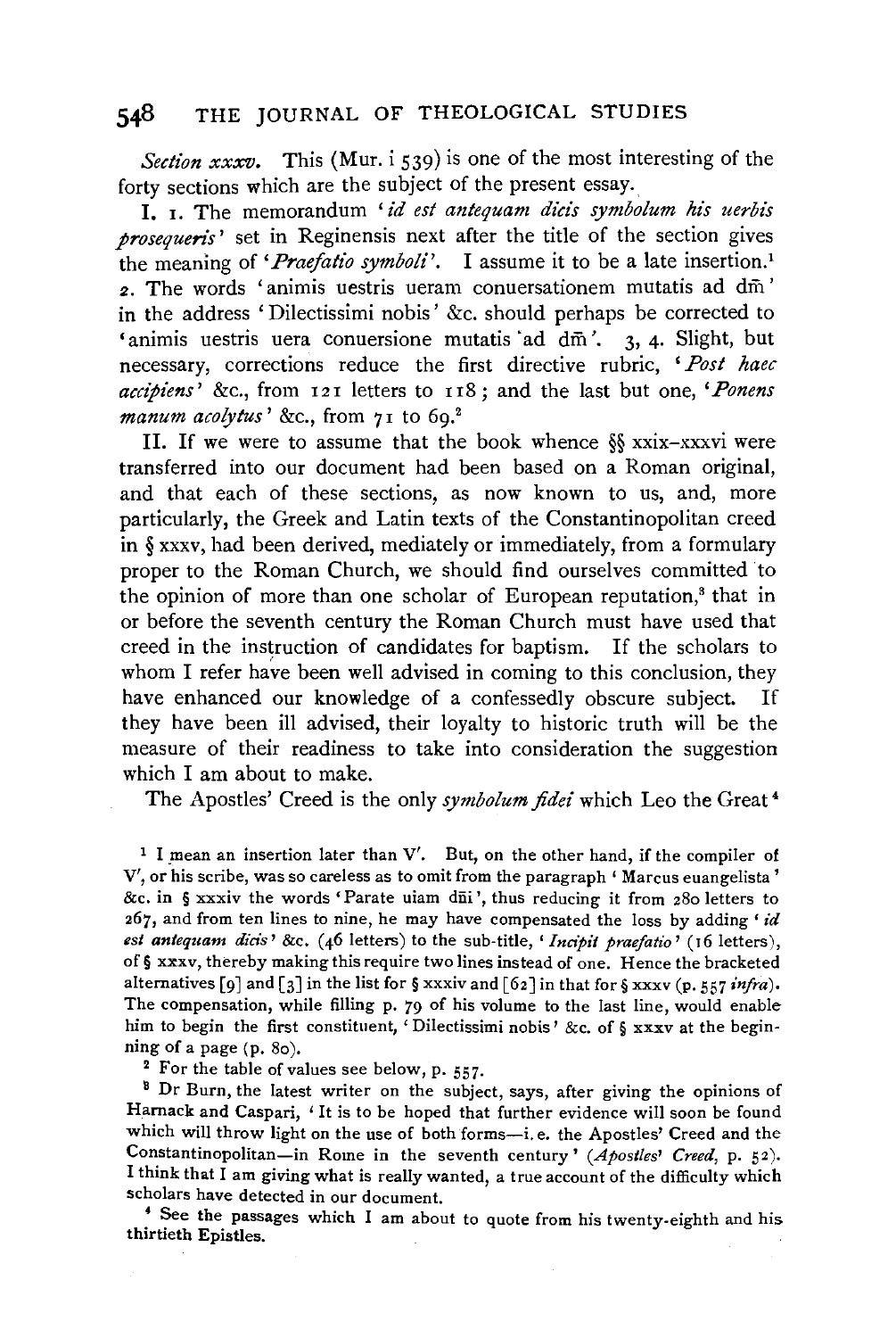*Section xxxv.* This (Mur. i 539) is one of the most interesting of the forty sections which are the subject of the present essay.

I. 1. The memorandum *'id est antequam dids symbolum his uerbis prosequeris'* set in Reginensis next after the title of the section gives the meaning of *'Praefatio symboli'*. I assume it to be a late insertion.<sup>1</sup> 2. The words 'animis uestris ueram conuersationem mutatis ad dm' in the address 'Dilectissimi nobis' &c. should perhaps be corrected to 'animis uestris uera conuersione mutatis ad dm<sup>2</sup>. 3, 4. Slight, but necessary, corrections reduce the first directive rubric, *'Post haec accipiens'* &c., from 121 letters to 118; and the last but one, *'Ponens manum acolytus' &c.*, from 71 to 69.<sup>2</sup>

II. If we were to assume that the book whence §§ xxix-xxxvi were transferred into our document had been based on a Roman original, and that each of these sections, as now known to us, and, more particularly, the Greek and Latin texts of the Constantinopolitan creed in§ xxxv, had been derived, mediately or immediately, from a formulary proper to the Roman Church, we should find ourselves committed to the opinion of more than one scholar of European reputation,<sup>3</sup> that in or before the seventh century the Roman Church must have used that creed in the instruction of candidates for baptism. If the scholars to whom I refer have been well advised in coming to this conclusion, they have enhanced our knowledge of a confessedly obscure subject. If they have been ill advised, their loyalty to historic truth will be the measure of their readiness to take into consideration the suggestion which I am about to make.

The Apostles' Creed is the only *symbolum fidei* which Leo the Great 4

<sup>1</sup> I mean an insertion later than V'. But, on the other hand, if the compiler of V', or his scribe, was so careless as to omit from the paragraph ' Marcus euangelista' &c. in  $\S$  xxxiv the words 'Parate uiam dii', thus reducing it from 280 letters to 267, and from ten lines to nine, he may have compensated the loss by adding' *id*  est antequam dicis' &c. (46 letters) to the sub-title, 'Incipit praefatio' (16 letters), of§ xxxv, thereby making this require two lines instead of one. Hence the bracketed alternatives [9] and [3] in the list for§ xxxiv and [62] in that for§ xxxv (p. 557 *infra).*  The compensation, while filling p. 79 of his volume to the last line, would enable him to begin the first constituent, 'Dilectissimi nobis' &c. of § xxxv at the begin-

ning of a page (p. 80).<br><sup>2</sup> For the table of values see below, p. 557.<br><sup>8</sup> Dr Burn, the latest writer on the subject, says, after giving the opinions of Hamack and Caspari, 'It is to be hoped that further evidence will soon be found which will throw light on the use of both forms-i.e. the Apostles' Creed and the Constantinopolitan-in Rome in the seventh century' (Apostles' Creed, p. 52). I think that I am giving what is really wanted, a true account of the difficulty which scholars have detected in our document.

• See the passages which I am about to quote from his twenty-eighth and his thirtieth Epistles.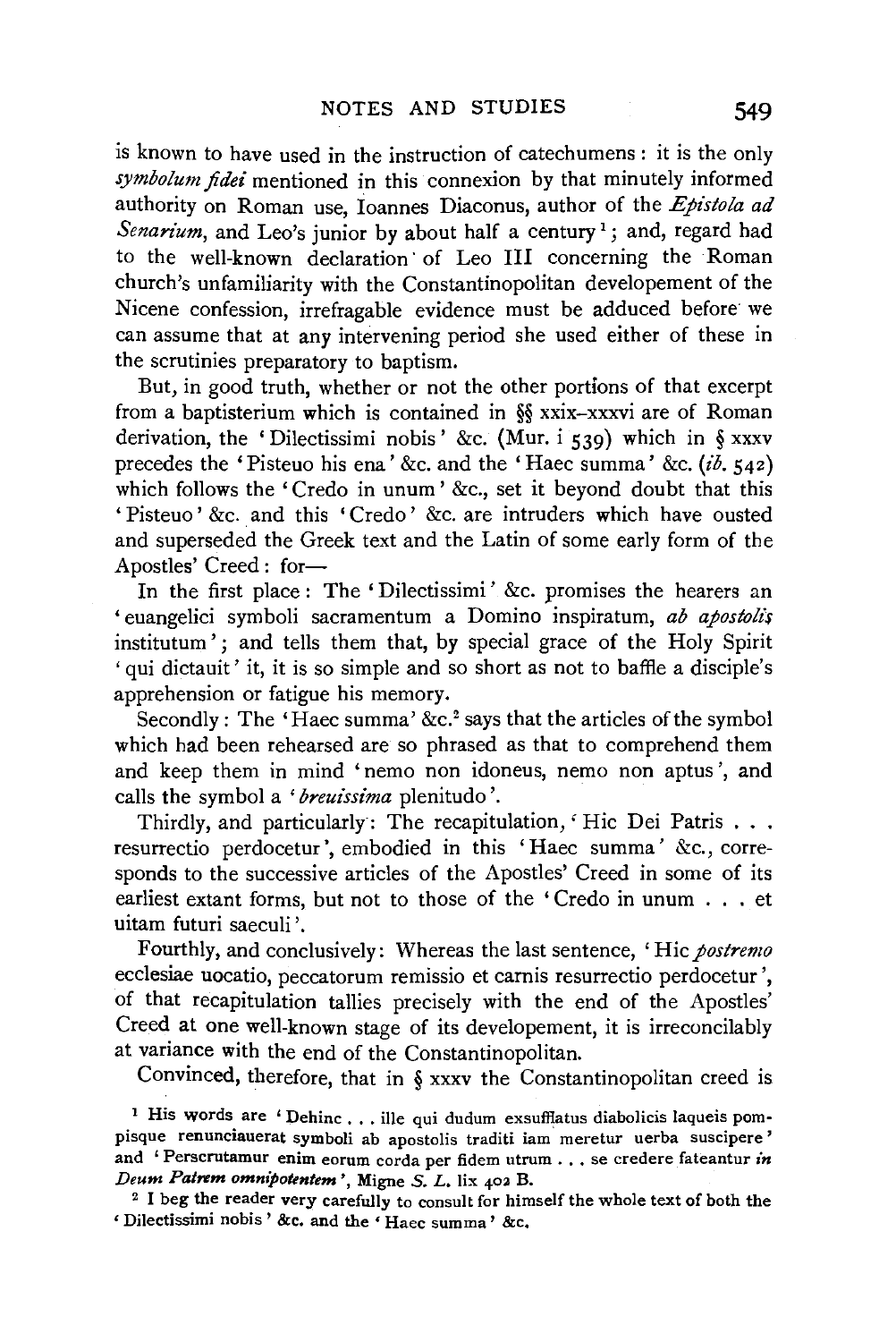is known to have used in the instruction of catechumens : it is the only *symbolum fidei* mentioned in this connexion by that minutely informed authority on Roman use, Ioannes Diaconus, author of the *Epistola ad*  Senarium, and Leo's junior by about half a century<sup>1</sup>; and, regard had to the well-known declaration of Leo III concerning the Roman church's unfamiliarity with the Constantinopolitan developement of the Nicene confession, irrefragable evidence must be adduced before we can assume that at any intervening period she used either of these in the scrutinies preparatory to baptism.

But, in good truth, whether or not the other portions of that excerpt from a baptisterium which is contained in §§ xxix-xxxvi are of Roman derivation, the 'Dilectissimi nobis' &c. (Mur. i 539) which in § xxxv precedes the 'Pisteuo his ena' &c. and the 'Haec summa' &c. *(ib.* 542) which follows the 'Credo in unum' &c., set it beyond doubt that this 'Pisteuo' &c. and this 'Credo' &c. are intruders which have ousted and superseded the Greek text and the Latin of some early form of the Apostles' Creed: for-

In the first place : The 'Dilectissimi' &c. promises the hearers an 'euangelici symboli sacramentum a Domino inspiratum, *ab apostolz\$*  institutum'; and tells them that, by special grace of the Holy Spirit 'qui dictauit' it, it is so simple and so short as not to baffle a disciple's apprehension or fatigue his memory.

Secondly: The 'Haec summa' &c.<sup>2</sup> says that the articles of the symbol which had been rehearsed are so phrased as that to comprehend them and keep them in mind 'nemo non idoneus, nemo non aptus ', and calls the symbol a '*breuissima* plenitudo'.

Thirdly, and particularly: The recapitulation, 'Hic Dei Patris . . . resurrectio perdocetur ', embodied in this 'Haec summa' &c., corresponds to the successive articles of the Apostles' Creed in some of its earliest extant forms, but not to those of the 'Credo in unum . . . et uitam futuri saeculi '.

Fourthly, and conclusively: Whereas the last sentence, 'Hie *postremo*  ecclesiae uocatio, peccatorum remissio et carnis resurrectio perdocetur ', of that recapitulation tallies precisely with the end of the Apostles' Creed at one well-known stage of its developement, it is irreconcilably at variance with the end of the Constantinopolitan.

Convinced, therefore, that in § xxxv the Constantinopolitan creed is

<sup>1</sup> His words are 'Dehinc . . . ille qui dudum exsufflatus diabolicis laqueis pompisque renunciauerat symboli ab apostolis traditi iam meretur uerba suscipere ' and 'Perscrutamur enim eorum corda per fidem utrum ... se credere fateantur *in Deum Patrem omnipotentem* ', Migne S. L. lix 402 B.

<sup>2</sup> I beg the reader very carefully to consult for himself the whole text of both the ' Dilectissimi nobis ' &c. and the ' Haec summa' &c.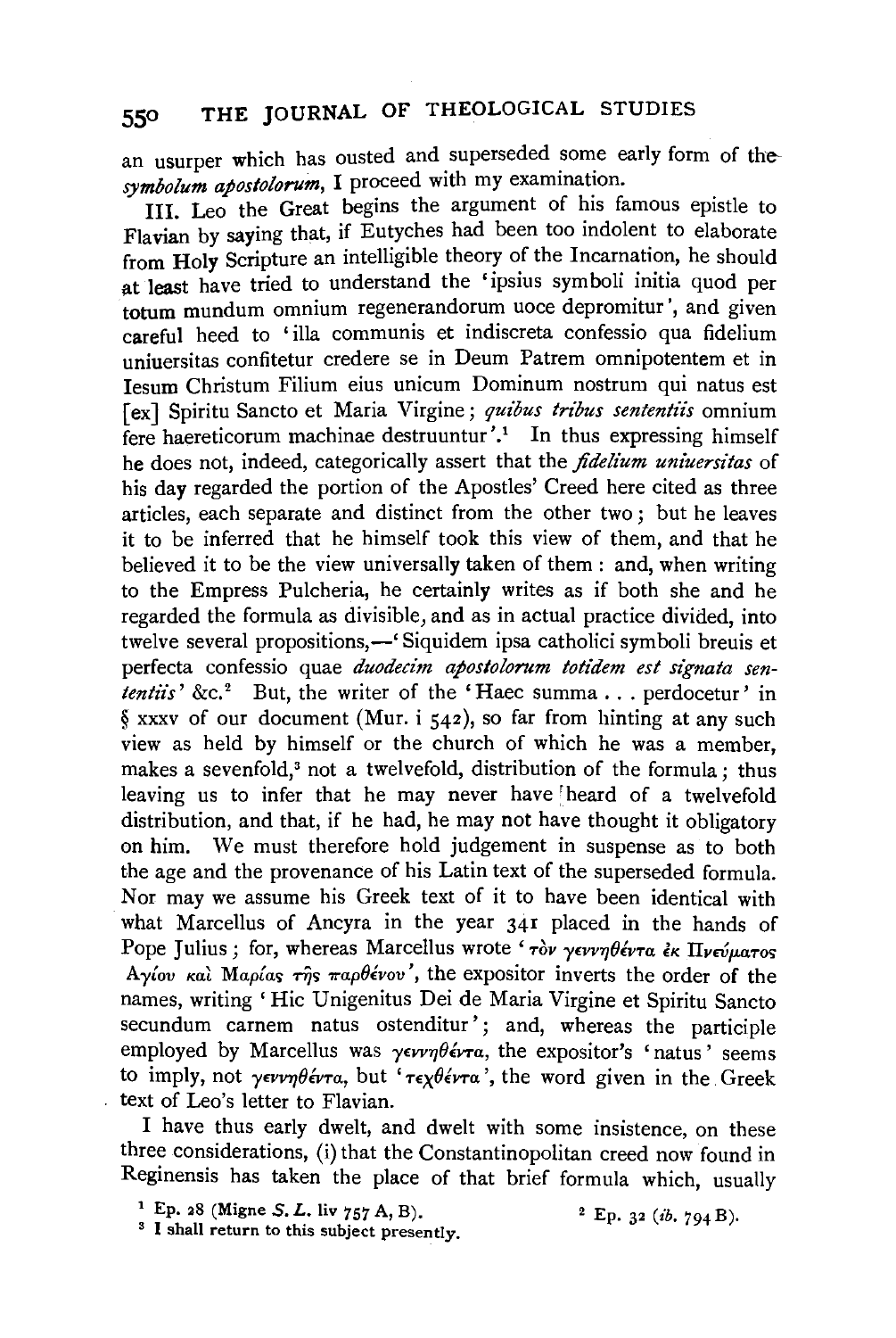an usurper which has ousted and superseded some early form of the*symbolum apostolorum,* I proceed with my examination.

III. Leo the Great begins the argument of his famous epistle to Flavian by saying that, if Eutyches had been too indolent to elaborate from Holy Scripture an intelligible theory of the Incarnation, he should at least have tried to understand the 'ipsius symboli initia quod per totum mundum omnium regenerandorum uoce depromitur ', and given careful heed to 'ilia communis et indiscreta confessio qua fidelium uniuersitas confitetur credere se in Deum Patrem omnipotentem et in Iesum Christum Filium eius unicum Dominum nostrum qui natus est [ex] Spiritu Sancto et Maria Virgine; *quibus tribus sententiis* omnium fere haereticorum machinae destruuntur'.<sup>1</sup> In thus expressing himself he does not, indeed, categorically assert that the *fidelium uniuersitas* of his day regarded the portion of the Apostles' Creed here cited as three articles, each separate and distinct from the other two ; but he leaves it to be inferred that he himself took this view of them, and that he believed it to be the view universally taken of them : and, when writing to the Empress Pulcheria, he certainly writes as if both she and he regarded the formula as divisible, and as in actual practice divided, into twelve several propositions,—' Siquidem ipsa catholici symboli breuis et perfecta confessio quae *duodecim apostolorum totidem est signata sententiis'* &c.<sup>2</sup> But, the writer of the 'Haec summa ... perdocetur' in *§* xxxv of our document (Mur. i 542), so far from hinting at any such view as held by himself or the church of which he was a member, makes a sevenfold,<sup>3</sup> not a twelvefold, distribution of the formula : thus leaving us to infer that he may never have heard of a twelvefold distribution, and that, if he had, he may not have thought it obligatory on him. We must therefore hold judgement in suspense as to both the age and the provenance of his Latin text of the superseded formula. Nor may we assume his Greek text of it to have been identical with what Marcellus of Ancyra in the year 341 placed in the hands of Pope Julius; for, whereas Marcellus wrote 'τον γεννηθέντα εκ Πνεύματος *Aγίου και Μαρίας της παρθένου'*, the expositor inverts the order of the names, writing 'Hie Unigenitus Dei de Maria Virgine et Spiritu Sancto secundum carnem natus ostenditur'; and, whereas the participle employed by Marcellus was  $\gamma \epsilon \nu \nu \eta \theta \epsilon \nu \tau a$ , the expositor's 'natus' seems to imply, not  $\gamma \epsilon \nu \nu \eta \theta \epsilon \nu \tau a$ , but ' $\tau \epsilon \gamma \theta \epsilon \nu \tau a$ ', the word given in the Greek text of Leo's letter to Flavian.

I have thus early dwelt, and dwelt with some insistence, on these three considerations, (i) that the Constantinopolitan creed now found in Reginensis has taken the place of that brief formula which, usually

2 Ep. 32 *(ib.* 794 B).

<sup>1</sup> Ep. 28 (Migne S. L. liv 757 A, B).<sup>3</sup> I shall return to this subject presently.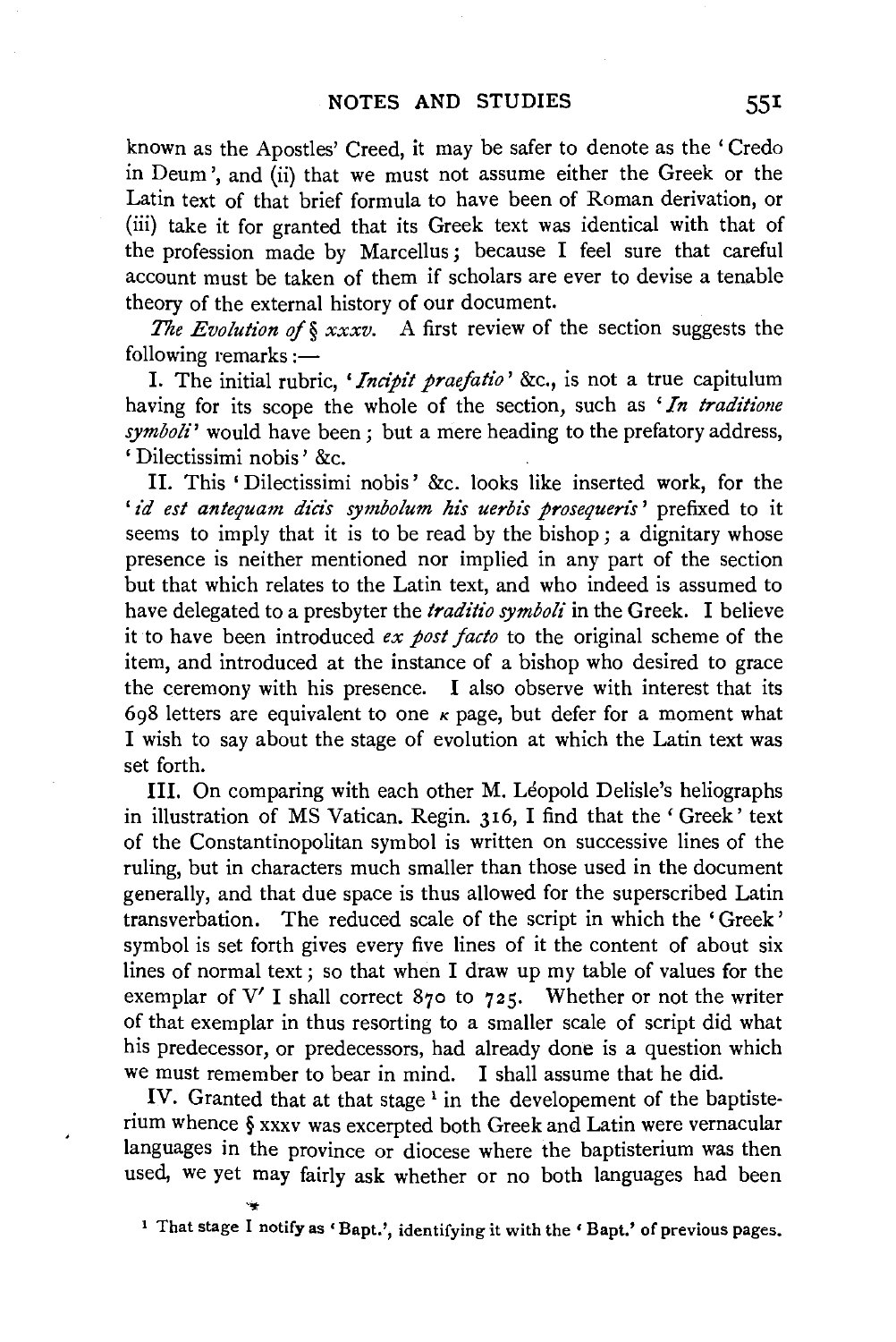known as the Apostles' Creed, it may be safer to denote as the 'Credo in Deum ', and (ii) that we must not assume either the Greek or the Latin text of that brief formula to have been of Roman derivation, or (iii) take it for granted that its Greek text was identical with that of the profession made by Marcellus ; because I feel sure that careful account must be taken of them if scholars are ever to devise a tenable theory of the external history of our document.

*The Evolution of § xxxv.* A first review of the section suggests the  $following$  remarks : $-$ 

I. The initial rubric, *'Indpit praefatio'* &c., is not a true capitulum having for its scope the whole of the section, such as *'In traditione symboli'* would have been; but a mere heading to the prefatory address, 'Dilectissimi nobis' &c.

II. This 'Dilectissimi nobis' &c. looks like inserted work, for the 'id est antequam dicis symbolum his uerbis prosequeris' prefixed to it seems to imply that it is to be read by the bishop; a dignitary whose presence is neither mentioned nor implied in any part of the section but that which relates to the Latin text, and who indeed is assumed to have delegated to a presbyter the *traditio symboli* in the Greek. I believe it to have been introduced *ex post facto* to the original scheme of the item, and introduced at the instance of a bishop who desired to grace the ceremony with his presence. I also observe with interest that its 698 letters are equivalent to one  $\kappa$  page, but defer for a moment what I wish to say about the stage of evolution at which the Latin text was set forth.

III. On comparing with each other M. Léopold Delisle's heliographs in illustration of MS Vatican. Regin. 316, I find that the' Greek' text of the Constantinopolitan symbol is written on successive lines of the ruling, but in characters much smaller than those used in the document generally, and that due space is thus allowed for the superscribed Latin transverbation. The reduced scale of the script in which the 'Greek' symbol is set forth gives every five lines of it the content of about six lines of normal text; so that when I draw up my table of values for the exemplar of V' I shall correct 870 to 725. Whether or not the writer of that exemplar in thus resorting to a smaller scale of script did what his predecessor, or predecessors, had already done is a question which we must remember to bear in mind. I shall assume that he did.

IV. Granted that at that stage<sup>1</sup> in the developement of the baptisterium whence § xxxv was excerpted both Greek and Latin were vernacular languages in the province or diocese where the baptisterium was then used, we yet may fairly ask whether or no both languages had been

<sup>1</sup> That stage I notify as 'Bapt.', identifying it with the 'Bapt.' of previous pages.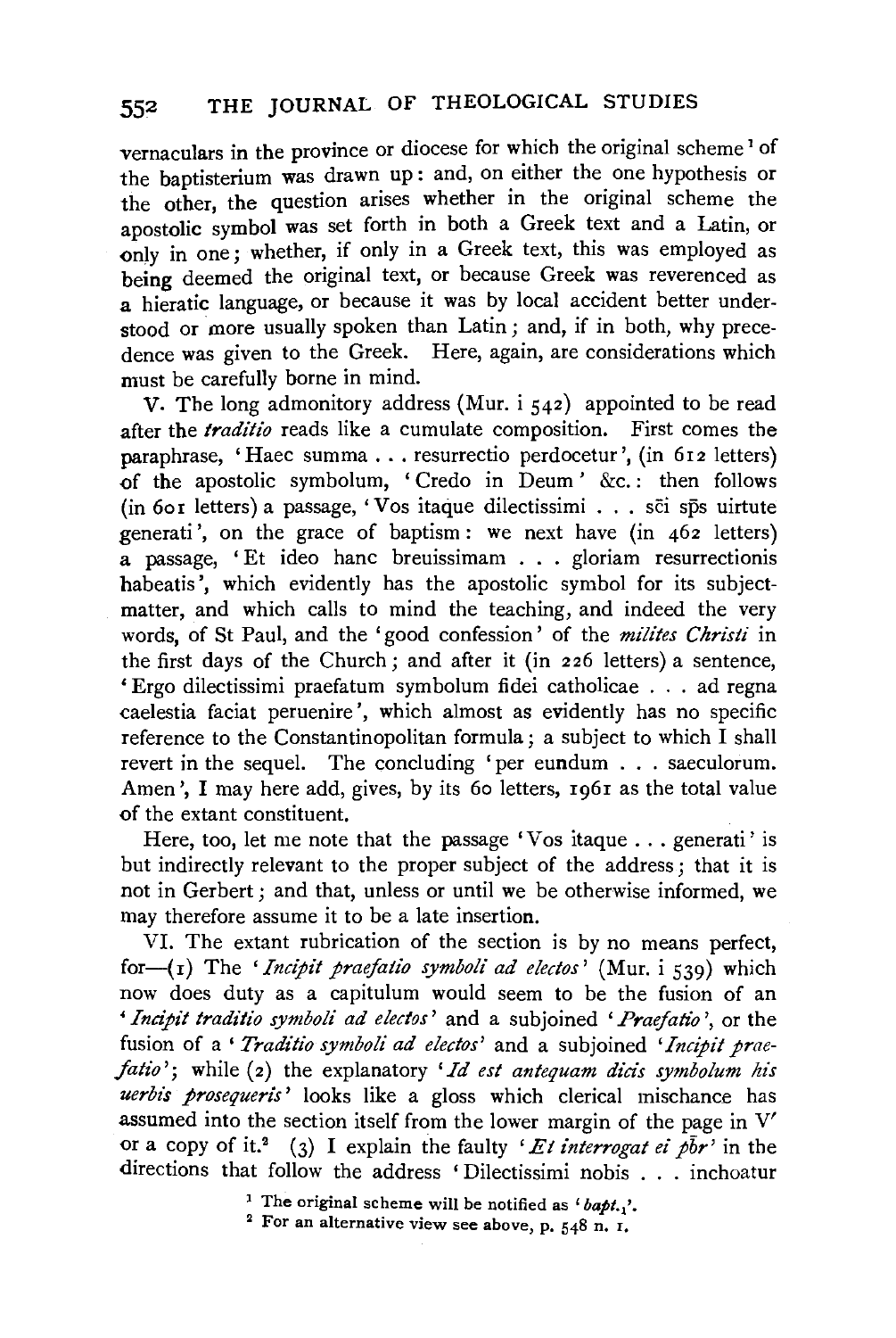vernaculars in the province or diocese for which the original scheme<sup>1</sup> of the baptisterium was drawn up: and, on either the one hypothesis or the other, the question arises whether in the original scheme the apostolic symbol was set forth in both a Greek text and a Latin, or only in one; whether, if only in a Greek text, this was employed as being deemed the original text, or because Greek was reverenced as a hieratic language, or because it was by local accident better understood or more usually spoken than Latin ; and, if in both, why precedence was given to the Greek. Here, again, are considerations which must be carefully borne in mind.

v. The long admonitory address (Mur. i 542) appointed to be read after the *traditio* reads like a cumulate composition. First comes the paraphrase, 'Haec summa ... resurrectio perdocetur ', (in 6r2 letters) of the apostolic symbolum, 'Credo in Deum' &c.: then follows (in 6or letters) a passage, 'Vos itaque dilectissimi ... sci sps uirtute generati ', on the grace of baptism: we next have (in 462 letters) a passage, ' Et ideo banc breuissimam . . . gloriam resurrectionis habeatis', which evidently has the apostolic symbol for its subjectmatter, and which calls to mind the teaching, and indeed the very words, of St Paul, and the 'good confession' of the *milites Christi* in the first days of the Church; and after it (in 226 letters) a sentence, 'Ergo dilectissimi praefatum symbolum fidei catholicae ... ad regna caelestia faciat peruenire ', which almost as evidently has no specific reference to the Constantinopolitan formula; a subject to which I shall revert in the sequel. The concluding 'per eundum ... saeculorum. Amen', I may here add, gives, by its 60 letters, 1961 as the total value of the extant constituent.

Here, too, let me note that the passage 'Vos itaque . . . generati' is but indirectly relevant to the proper subject of the address; that it is not in Gerbert ; and that, unless or until we be otherwise informed, we may therefore assume it to be a late insertion.

VI. The extant rubrication of the section is by no means perfect, for $-(r)$  The *'Incipit praefatio symboli ad electos'* (Mur. i 539) which now does duty as a capitulum would seem to be the fusion of an *'Incipit traditio symboli ad electos'* and a subjoined *'Praefatio* ', or the fusion of a' *Traditio symboli ad electos'* and a subjoined *'Incipit praefatio'*; while (2) the explanatory 'Id est antequam dicis symbolum his *uerbi's prosequeris'* looks like a gloss which clerical mischance has assumed into the section itself from the lower margin of the page in V' or a copy of it.<sup>2</sup> (3) I explain the faulty *'Et interrogat ei*  $p\bar{b}r$ *'* in the directions that follow the address ' Dilectissimi nobis . . . inchoatur

<sup>1</sup> The original scheme will be notified as  $i$  bapt.,'.

<sup>&</sup>lt;sup>2</sup> For an alternative view see above, p. 548 n. I.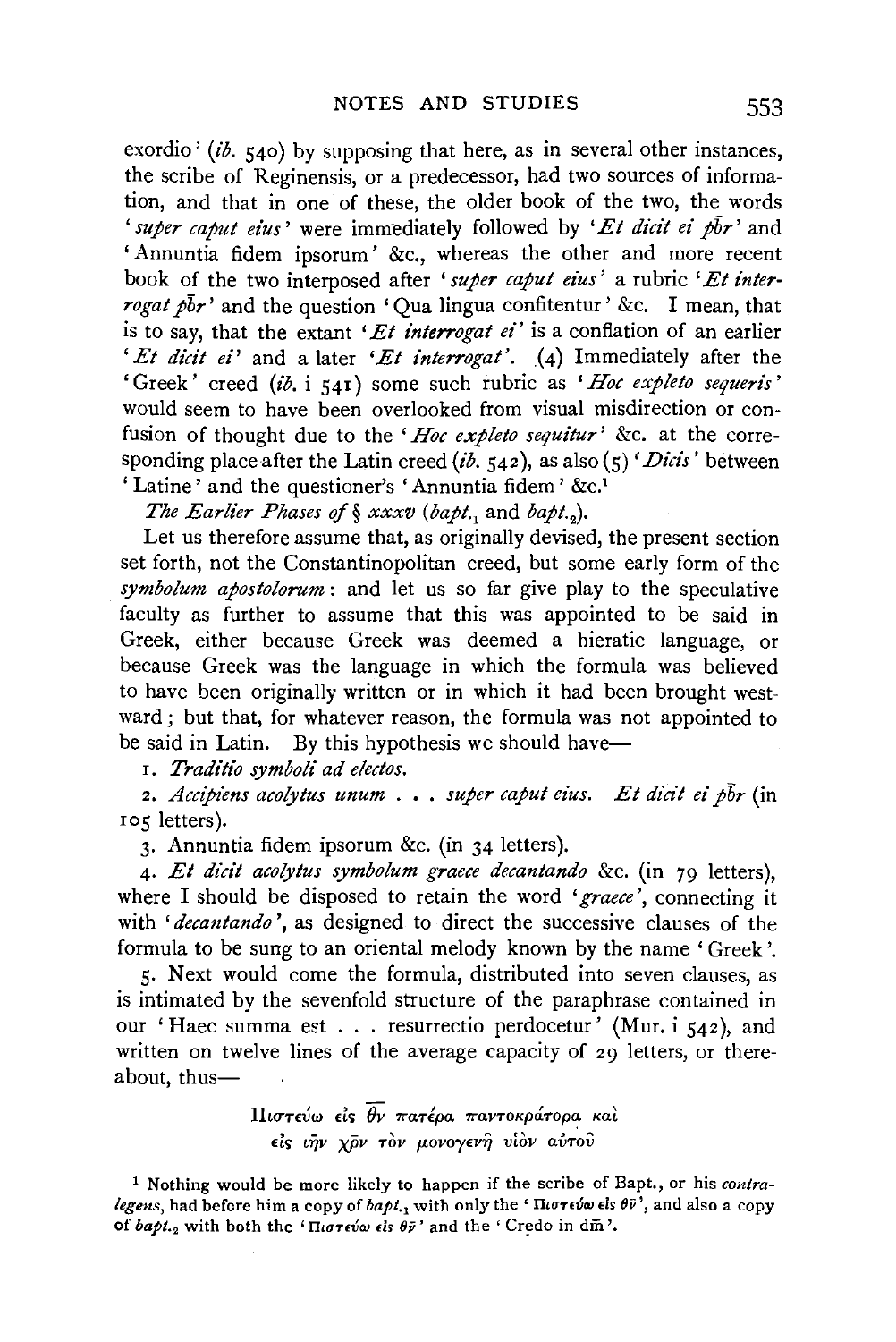exordio ' (ib.  $540$ ) by supposing that here, as in several other instances, the scribe of Reginensis, or a predecessor, had two sources of information, and that in one of these, the older book of the two, the words *'super caput eius'* were immediately followed by *'Et dicit ei pbr'* and 'Annuntia fidem ipsorum' &c., whereas the other and more recent book of the two interposed after *'super caput eius'* a rubric *'Et interrogat pbr'* and the question 'Qua lingua confitentur' &c. I mean, that is to say, that the extant *'Et interrogat ei'* is a conflation of an earlier *'Et dicit ei'* and a later '*Et interrogat'*. (4) Immediately after the 'Greek' creed *(ib.* i 541) some such rubric as *'Hoc expleto sequeris'*  would seem to have been overlooked from visual misdirection or confusion of thought due to the *'Hoc expleto sequitur'* &c. at the corresponding place after the Latin creed *(ib.*  $542$ ), as also  $(5)$  *'Dicis'* between 'Latine' and the questioner's 'Annuntia fidem' &c.<sup>1</sup>

*The Earlier Phases of § xxxv (bapt., and bapt.,).* 

Let us therefore assume that, as originally devised, the present section set forth, not the Constantinopolitan creed, but some early form of the *symbolum apostolorum* : and let us so far give play to the speculative faculty as further to assume that this was appointed to be said in Greek, either because Greek was deemed a hieratic language, or because Greek was the language in which the formula was believed to have been originally written or in which it had been brought westward; but that, for whatever reason, the formula was not appointed to be said in Latin. By this hypothesis we should have-

r. *Traditio symboli ad e!ectos.* 

2. *Accipiens acolytus unum* .•. *super caput eius. Et dicit ei pbr* (in 105 letters).

3· Annuntia fidem ipsorum &c. (in 34 letters).

4· *Et dicit acolytus symbolum graece decantando* &c. (in 79 letters), where I should be disposed to retain the word *'graece',* connecting it with *'decantando* ', as designed to direct the successive clauses of the formula to be sung to an oriental melody known by the name 'Greek'.

5· Next would come the formula, distributed into seven clauses, as is intimated by the sevenfold structure of the paraphrase contained in our 'Haec summa est . . . resurrectio perdocetur' (Mur. i 542), and written on twelve lines of the average capacity of 29 letters, or thereabout, thus-

> $\Pi$ ιστεύω είς  $\overline{\theta v}$  πατέρα παντοκράτορα καλ Els *tijv* x.fiv Tov *p.ovoyEV'Yj* v1ov *avTov*

<sup>1</sup> Nothing would be more likely to happen if the scribe of Bapt., or his contra*legens*, had before him a copy of *bapt*.<sub>1</sub> with only the 'Πιστεύω είs θν', and also a copy of *bapt.*<sub>2</sub> with both the ' $\Pi$ *i* $\sigma$ *revo els*  $\theta \bar{\nu}$ ' and the ' Credo in dm<sup>'</sup>.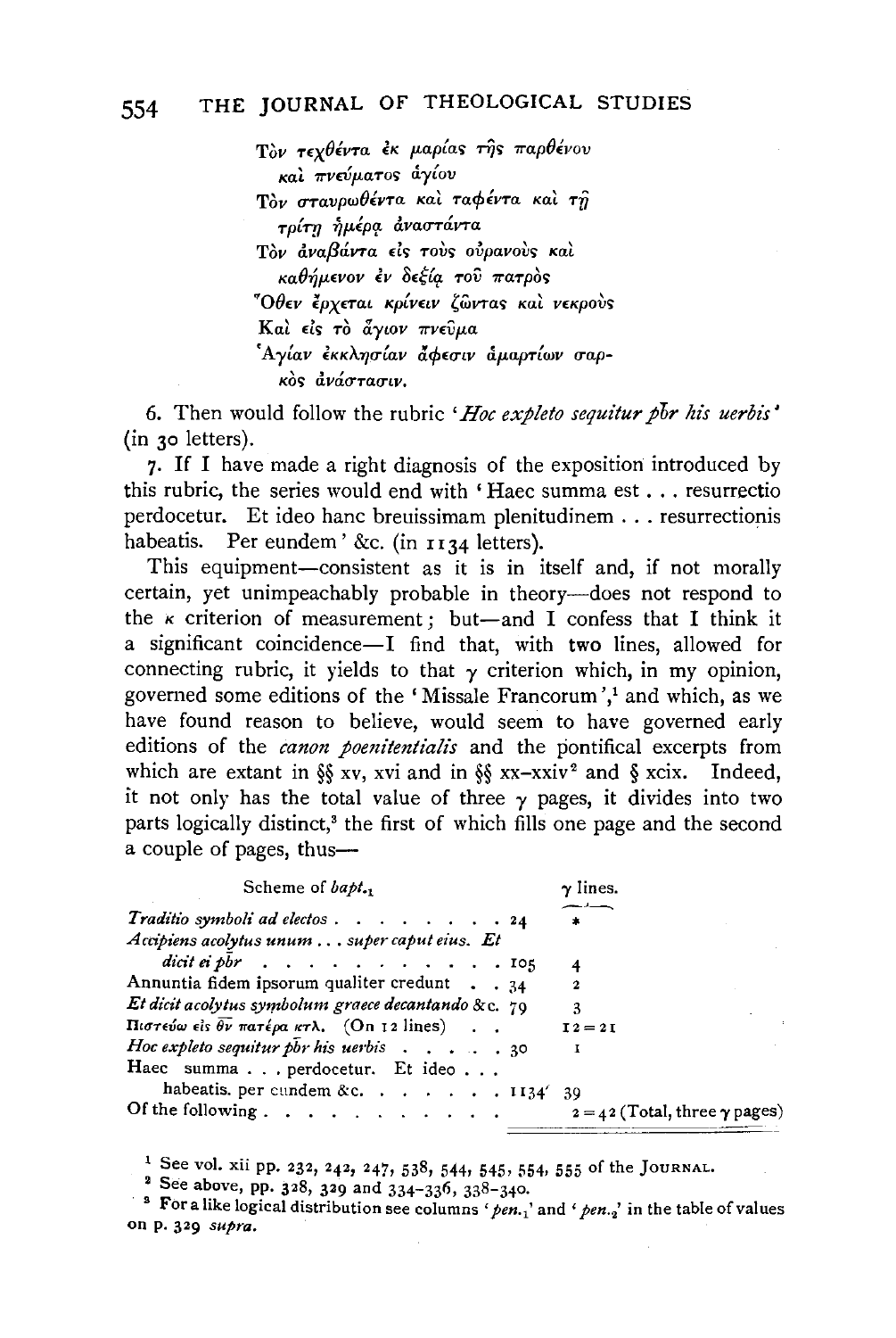Tòν τεχθέντα εκ μαρίας της παρθένου και πνεύματος άγίου Tòv στανρωθέντα και ταφέντα και τη τρίτη ἡμέρα ἀναστάντα Tòv αναβάντα είς τους ουρανους και  $\kappa a \theta \eta \mu \epsilon$ vov εν δεξία του πατρός "Όθεν έρχεται κρίνειν ζώντας και νεκρούς Kai είς το άγιον πνεύμα 'Αγίαν εκκλησίαν άφεσιν αμαρτίων σαρ- $\kappa$ os dváctacuv.

6. Then would follow the rubric *'Hoc expleto sequitur por his uerbis'* (in 30 letters).

7· If I have made a right diagnosis of the exposition introduced by this rubric, the series would end with 'Haec summa est ... resurrectio perdocetur. Et ideo hanc breuissimam plenitudinem ... resurrectionis habeatis. Per eundem '&c. (in  $1134$  letters). Per eundem' &c. (in  $1134$  letters).

This equipment-consistent as it is in itself and, if not morally certain, yet unimpeachably probable in theory-does not respond to the  $\kappa$  criterion of measurement; but-and I confess that I think it a significant coincidence-I find that, with two lines, allowed for connecting rubric, it yields to that  $\gamma$  criterion which, in my opinion, governed some editions of the 'Missale Francorum',<sup>1</sup> and which, as we have found reason to believe, would seem to have governed early editions of the *canon poenitentialis* and the pontifical excerpts from which are extant in §§ xv, xvi and in §§  $xx-xxiv^2$  and § xcix. Indeed, it not only has the total value of three  $\gamma$  pages, it divides into two parts logically distinct,<sup>3</sup> the first of which fills one page and the second a couple of pages, thus-

| Scheme of bapt.,                                                                                                   | $\gamma$ lines.                        |
|--------------------------------------------------------------------------------------------------------------------|----------------------------------------|
| Traditio symboli ad electos 24                                                                                     |                                        |
| Accipiens acolytus unum super caput eius. Et<br>dicit ei pbr $\cdots$ $\cdots$ $\cdots$ $\cdots$ $\cdots$ $\cdots$ | 4                                      |
| Annuntia fidem ipsorum qualiter credunt $\ldots$ 34                                                                | $\mathbf 2$                            |
| Et dicit acolytus symbolum graece decantando & c. 79                                                               | 3                                      |
| Πιστεύω είς θν πατέρα κτλ. (On 12 lines).                                                                          | $I2 = 2I$                              |
| Hoc expleto sequitur por his uerbis $\ldots$ , 30<br>Haec summaperdocetur. Et ideo                                 | п                                      |
| habeatis. per cundem &c. 1134' 39                                                                                  |                                        |
| Of the following $\ldots$ , $\ldots$ , $\ldots$ , $\ldots$                                                         | $2 = 42$ (Total, three $\gamma$ pages) |

<sup>1</sup> See vol. xii pp. 232, 242, 247, 538, 544, 545, 554, 555 of the JOURNAL.

<sup>2</sup> See above, pp. 328, 329 and 334-336, 338-340.

<sup>3</sup> For a like logical distribution see columns ' pen.<sub>1</sub>' and ' pen.<sub>2</sub>' in the table of values on p. 329 *supra.*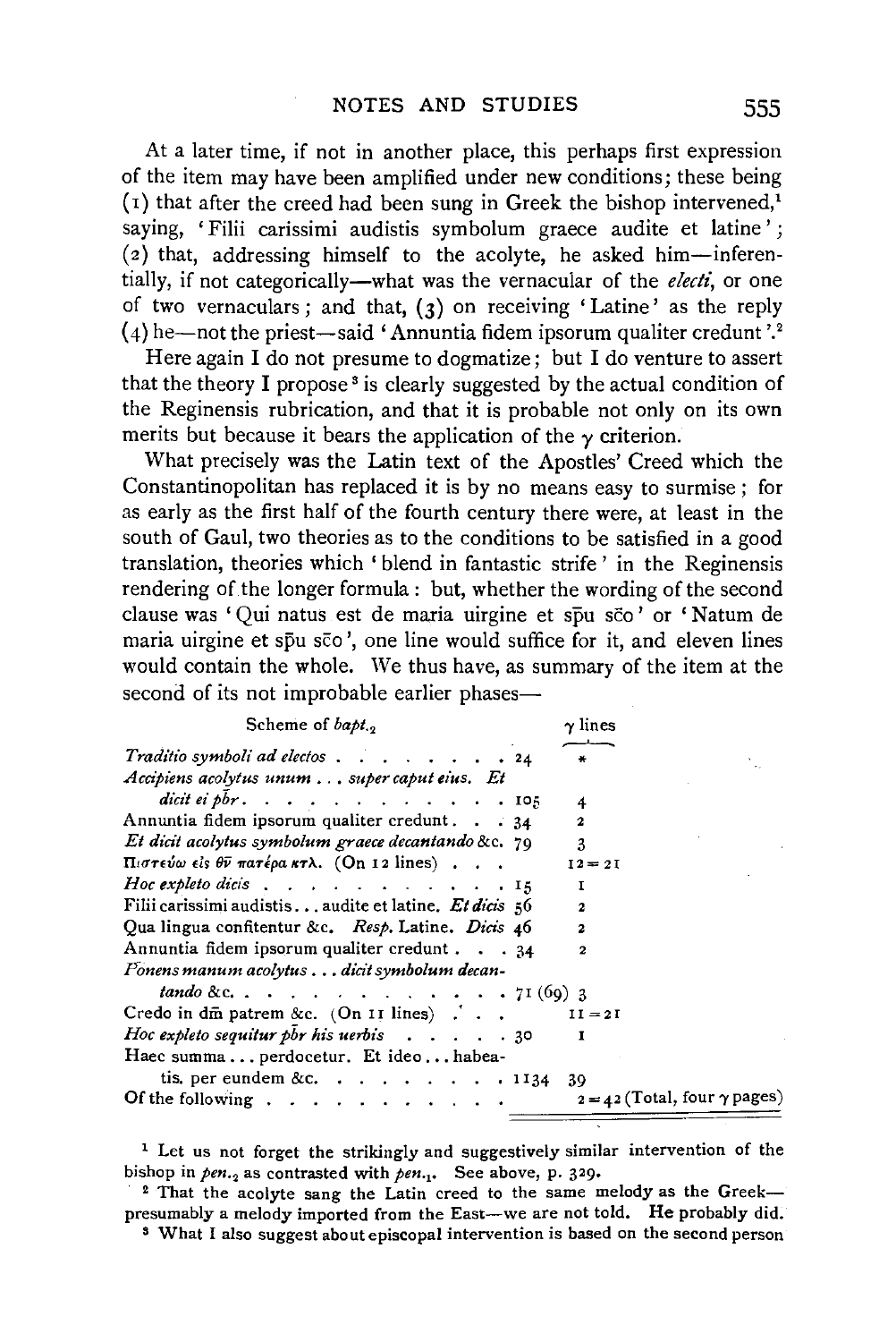At a later time, if not in another place, this perhaps first expression of the item may have been amplified under new conditions; these being  $(1)$  that after the creed had been sung in Greek the bishop intervened,<sup>1</sup> saying, 'Filii carissimi audistis symbolum graece audite et latine';  $(z)$  that, addressing himself to the acolyte, he asked him-inferentially, if not categorically-what was the vernacular of the *electi,* or one of two vernaculars; and that,  $(3)$  on receiving 'Latine' as the reply  $(4)$  he—not the priest—said 'Annuntia fidem ipsorum qualiter credunt '.<sup>2</sup>

Here again I do not presume to dogmatize; but I do venture to assert that the theory I propose<sup> $\delta$ </sup> is clearly suggested by the actual condition of the Reginensis rubrication, and that it is probable not only on its own merits but because it bears the application of the  $\gamma$  criterion.

What precisely was the Latin text of the Apostles' Creed which the Constantinopolitan has replaced it is by no means easy to surmise ; for as early as the first half of the fourth century there were, at least in the south of Gaul, two theories as to the conditions to be satisfied in a good translation, theories which 'blend in fantastic strife ' in the Reginensis rendering of the longer formula: but, whether the wording of the second clause was 'Qui natus est de maria uirgine et spu sco' or 'Natum de maria uirgine et spu sco', one line would suffice for it, and eleven lines would contain the whole. We thus have, as summary of the item at the second of its not improbable earlier phases-

| Scheme of $b$ apt.,                                                                            | $\gamma$ lines                        |
|------------------------------------------------------------------------------------------------|---------------------------------------|
| Traditio symboli ad electos 24<br>Accipiens acolytus unum super caput eius. Et                 | $\ast$                                |
| dicit ei pbr. $\ldots$ $\ldots$ $\ldots$ $\ldots$ $\ldots$ $\ldots$ $\ldots$ $\ldots$ $\ldots$ | 4                                     |
| Annuntia fidem ipsorum qualiter credunt. 34                                                    | $\mathbf{2}$                          |
| Et dicit acolytus symbolum graece decantando &c. 79                                            | 3                                     |
| Πιστεύω είς θν πατέρα κτλ. (On 12 lines)                                                       | $I2 = 2I$                             |
| Hoc expleto dicis $\ldots$ $\ldots$ $\ldots$ $\ldots$ $\ldots$ $\ldots$                        | I                                     |
| Filii carissimi audistisaudite et latine. Et dicis 56                                          | $\mathbf{2}$                          |
| Qua lingua confitentur &c. Resp. Latine. Dicis 46                                              | $\mathbf{z}$                          |
| Annuntia fidem ipsorum qualiter credunt 34                                                     | 2                                     |
| Ponens manum acolytus dicit symbolum decan-                                                    |                                       |
| <i>tando &amp;c</i> 71(69) 3                                                                   |                                       |
| Credo in dm patrem &c. $(On II lines)$ .                                                       | $II = 2I$                             |
| Hoc expleto sequitur pbr his uerbis $\ldots$ , $\ldots$                                        | 1                                     |
| Haec summa  perdocetur. Et ideo habea-                                                         |                                       |
| tis. per eundem &c. 1134 39                                                                    |                                       |
| Of the following $\ldots$ , $\ldots$ , $\ldots$                                                | $2 = 42$ (Total, four $\gamma$ pages) |

<sup>1</sup> Let us not forget the strikingly and suggestively similar intervention of the bishop in  $pen._2$  as contrasted with  $pen._1$ . See above, p. 329.<br><sup>2</sup> That the acolyte sang the Latin creed to the same melody as the Greek-

presumably a melody imported from the East-we are not told. He probably did. <sup>3</sup> What I also suggest about episcopal intervention is based on the second person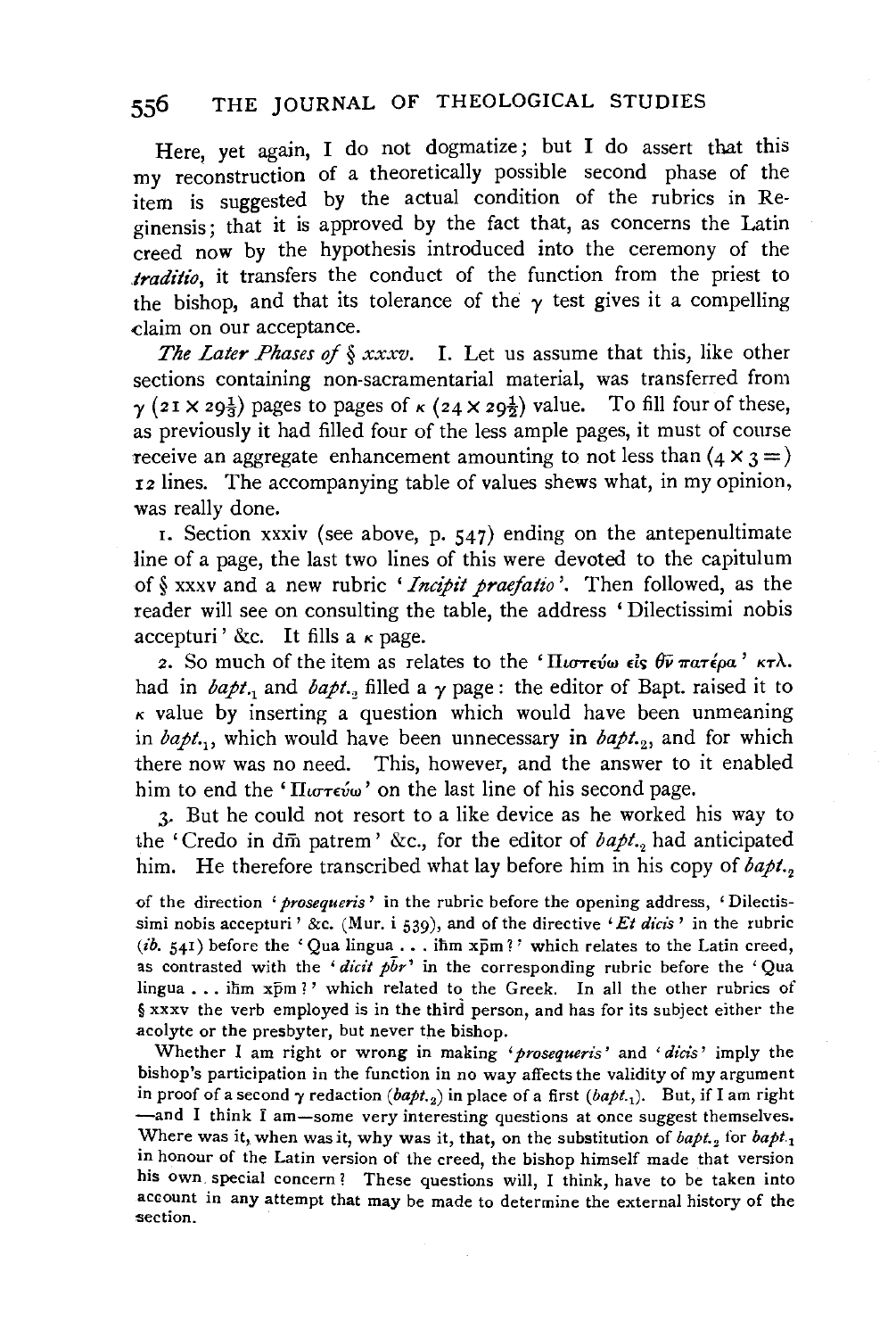Here, yet again, I do not dogmatize; but I do assert that this my reconstruction of a theoretically possible second phase of the item is suggested by the actual condition of the rubrics in Reginensis; that it is approved by the fact that, as concerns the Latin creed now by the hypothesis introduced into the ceremony of the *.traditio,* it transfers the conduct of the function from the priest to the bishop, and that its tolerance of the  $\gamma$  test gives it a compelling claim on our acceptance.

*The Later Phases of§ xxxv.* I. Let us assume that this, like other sections containing non-sacramentarial material, was transferred from  $\gamma$  (21 X 29<sup>1</sup>/<sub>2</sub>) pages to pages of  $\kappa$  (24 X 29<sup>1</sup>/<sub>2</sub>) value. To fill four of these, as previously it had filled four of the less ample pages, it must of course receive an aggregate enhancement amounting to not less than  $(4 \times 3 =)$ 12 lines. The accompanying table of values shews what, in my opinion, was really done.

1. Section xxxiv (see above, p.  $547$ ) ending on the antepenultimate line of a page, the last two lines of this were devoted to the capitulum of§ xxxv and a new rubric *'Incipit praefatio* '. Then followed, as the reader will see on consulting the table, the address 'Dilectissimi nobis accepturi' &c. It fills a  $\kappa$  page.

2. So much of the item as relates to the ' $\Pi_{\iota\sigma\tau\epsilon\iota\omega}$   $\epsilon_{\iota\varsigma}$   $\theta\bar{\nu}$   $\pi\alpha\tau\epsilon_{\iota}\iota\alpha'$   $\kappa\tau\lambda$ . had in  $bapt.$  and  $bapt.$ , filled a  $\gamma$  page: the editor of Bapt. raised it to  $k$  value by inserting a question which would have been unmeaning in  $bapt.,$ , which would have been unnecessary in  $bapt.,$  and for which there now was no need. This, however, and the answer to it enabled him to end the ' $\Pi_{\mu\sigma\tau\epsilon\mu\omega}$ ' on the last line of his second page.

.>- But he could not resort to a like device as he worked his way to the 'Credo in dm patrem' &c., for the editor of *bapt.*, had anticipated him. He therefore transcribed what lay before him in his copy of *bapt.* 

<>f the direction *'prosequeris* ' in the rubric before the opening address, 'Dilectissimi nobis accepturi' &c. (Mur. i 539), and of the directive *'Et dicis'* in the rubric (ib. 541) before the 'Qua lingua ... ihm  $x\bar{p}m$ ?' which relates to the Latin creed, as contrasted with the 'dicit  $p\bar{b}r$ ' in the corresponding rubric before the 'Qua lingua ... ihm xpm ?' which related to the Greek. In all the other rubrics of § xxxv the verb employed is in the third person, and has for its subject either the acolyte or the presbyter, but never the bishop.

Whether I am right or wrong in making *'prosequeris'* and *'dicis'* imply the bishop's participation in the function in no way affects the validity of my argument in proof of a second  $\gamma$  redaction  $(bapt._2)$  in place of a first  $(bapt._1)$ . But, if I am right -and I think I am-some very interesting questions at once suggest themselves. Where was it, when was it, why was it, that, on the substitution of  $bapt_{i}$  for  $bapt_{i}$ in honour of the Latin version of the creed, the bishop himself made that version his own special concern? These questions will, I think, have to be taken into account in any attempt that may be made to determine the external history of the section.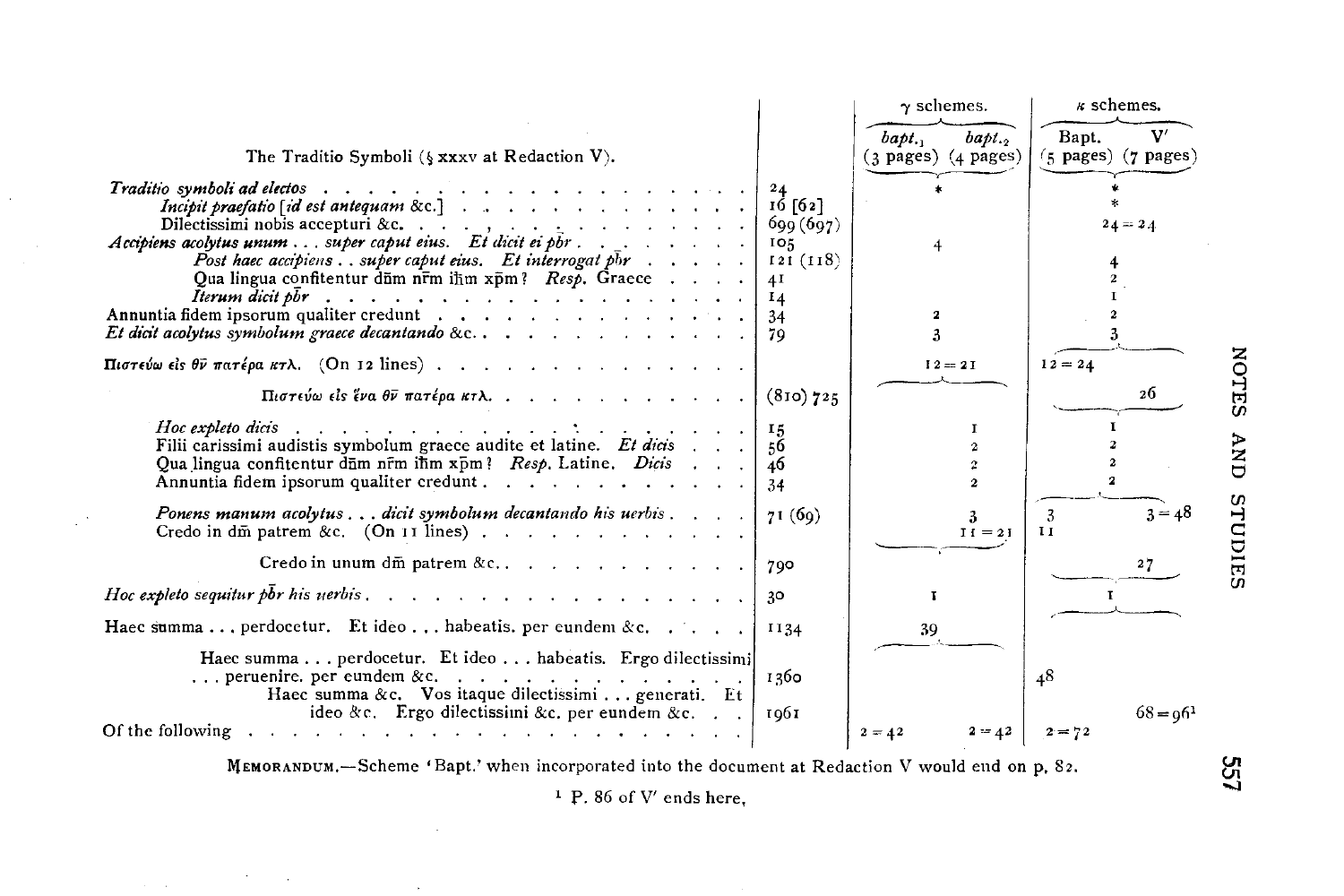

MEMORANDUM,-Scheme 'Bapt.' when incorporated into the document at Redaction V would end on p. 82.

 $1 P. 86 of V' ends here$ 

 $\tilde{\mathbf{a}}$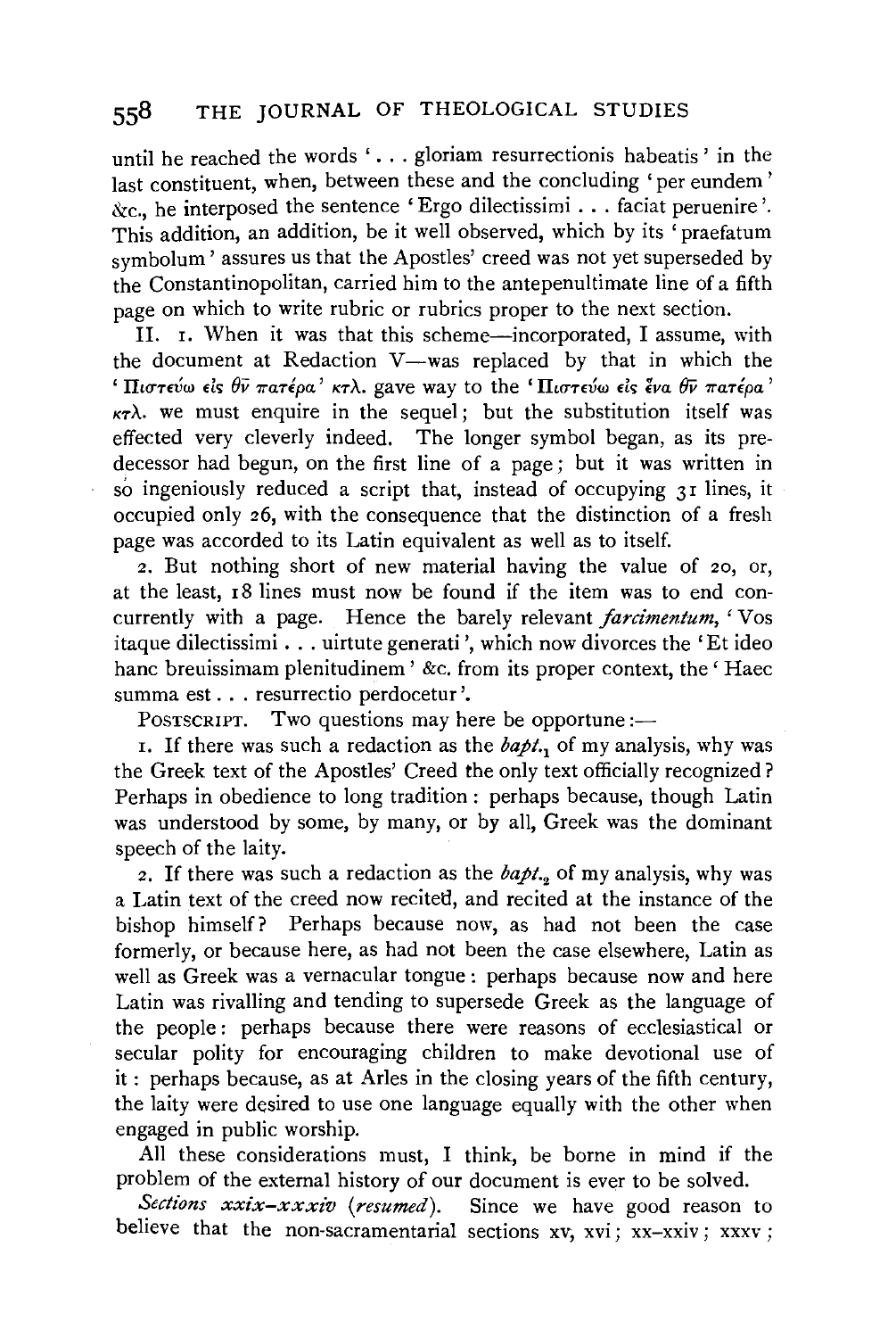until he reached the words '... gloriam resurrectionis habeatis' in the last constituent, when, between these and the concluding 'per eundem' &c., he interposed the sentence 'Ergo dilectissimi ... faciat peruenire '. This addition, an addition, be it well observed, which by its 'praefatum symbolum' assures us that the Apostles' creed was not yet superseded by the Constantinopolitan, carried him to the antepenultimate line of a fifth page on which to write rubric or rubrics proper to the next section.

II. 1. When it was that this scheme-incorporated, I assume, with the document at Redaction V-was replaced by that in which the <sup>1</sup> Πιστεύω είς θν πατέρα' κτλ. gave way to the 'Πιστεύω είς ένα θν πατέρα'  $K_{\tau}$ . we must enquire in the sequel; but the substitution itself was effected very cleverly indeed. The longer symbol began, as its predecessor had begun, on the first line of a page; but it was written in so ingeniously reduced a script that, instead of occupying 31 lines, it occupied only 26, with the consequence that the distinction of a fresh page was accorded to its Latin equivalent as well as to itself.

2. But nothing short of new material having the value of 20, or, at the least, 18 lines must now be found if the item was to end concurrently with a page. Hence the barely relevant *farcimentum*, 'Vos itaque dilectissimi . . . uirtute generati', which now divorces the 'Et ideo hanc breuissimam plenitudinem ' &c. from its proper context, the 'Haec summa est ... resurrectio perdocetur '.

POSTSCRIPT. Two questions may here be opportune:-

r. If there was such a redaction as the *bapt.*1 of my analysis, why was the Greek text of the Apostles' Creed the only text officially recognized? Perhaps in obedience to long tradition : perhaps because, though Latin was understood by some, by many, or by all, Greek was the dominant speech of the laity.

*z.* If there was such a redaction as the *bapt.2* of my analysis, why was a Latin text of the creed now recitetl, and recited at the instance of the bishop himself? Perhaps because now, as had not been the case formerly, or because here, as had not been the case elsewhere, Latin as well as Greek was a vernacular tongue : perhaps because now and here Latin was rivalling and tending to supersede Greek as the language of the people : perhaps because there were reasons of ecclesiastical or secular polity for encouraging children to make devotional use of it : perhaps because, as at Aries in the closing years of the fifth century, the laity were desired to use one language equally with the other when engaged in public worship.

All these considerations must, I think, be borne in mind if the problem of the external history of our document is ever to be solved.

*Sections xxix-xxxiv (resumed).* Since we have good reason to believe that the non-sacramentarial sections xv, xvi; xx-xxiv; xxxv ;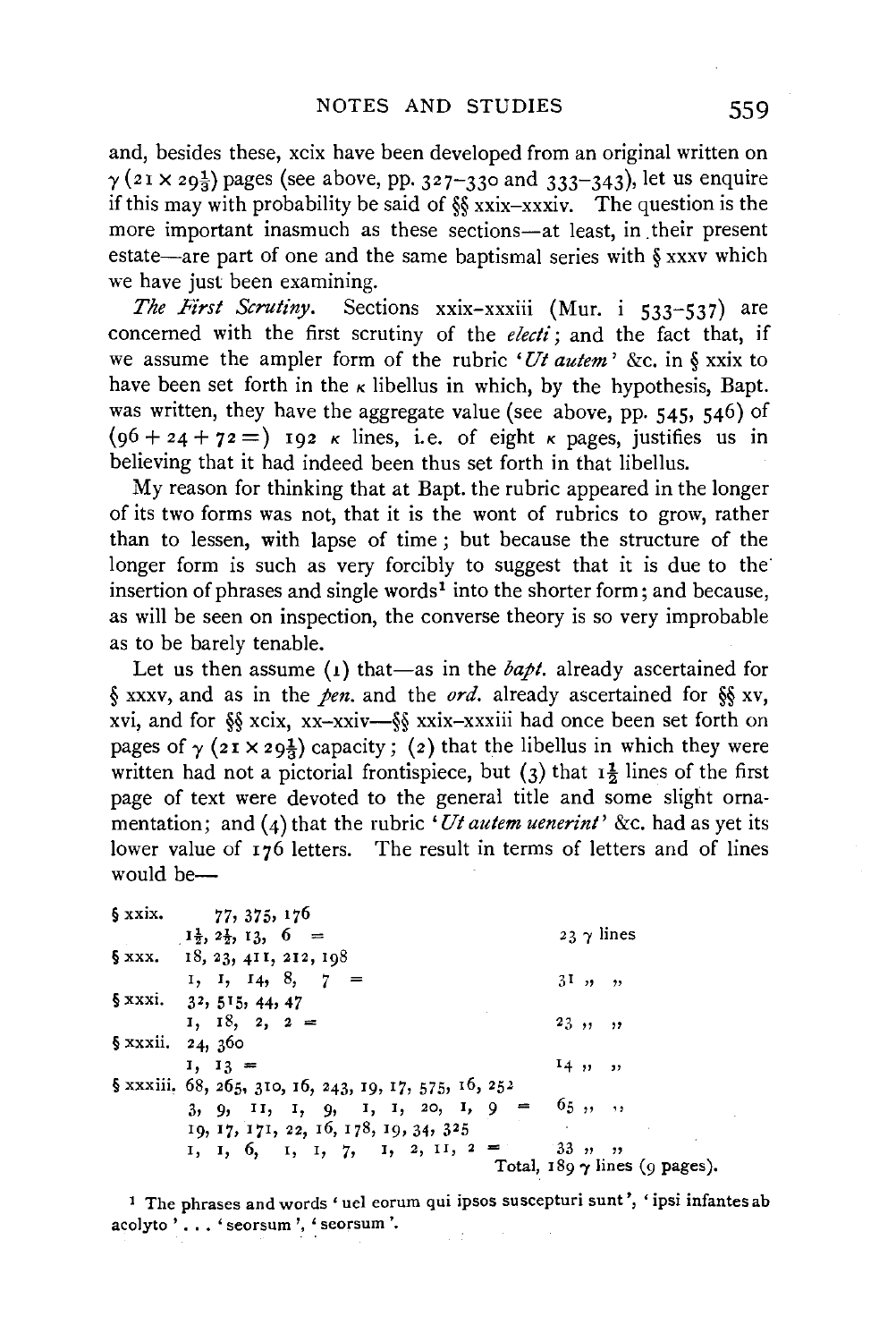and, besides these, xcix have been developed from an original written on  $\gamma$  (21 x 29<sup>1</sup>/<sub>2</sub>) pages (see above, pp. 327–330 and 333–343), let us enquire if this may with probability be said of §§ xxix-xxxiv. The question is the more important inasmuch as these sections-at least, in their present estate—are part of one and the same baptismal series with  $\S$  xxxv which we have just been examining.

The First Scrutiny. Sections xxix-xxxiii (Mur. i 533-537) are concerned with the first scrutiny of the *electi;* and the fact that, if we assume the ampler form of the rubric *'Ut autem'* &c. in § xxix to have been set forth in the  $\kappa$  libellus in which, by the hypothesis, Bapt. was written, they have the aggregate value (see above, pp. 545, 546) of  $(96 + 24 + 72 =)$  192 *k* lines, i.e. of eight *k* pages, justifies us in believing that it had indeed been thus set forth in that libellus.

My reason for thinking that at Bapt. the rubric appeared in the longer of its two forms was not, that it is the wont of rubrics to grow, rather than to lessen, with lapse of time ; but because the structure of the longer form is such as very forcibly to suggest that it is due to the insertion of phrases and single words<sup>1</sup> into the shorter form; and because, as will be seen on inspection, the converse theory is so very improbable as to be barely tenable.

Let us then assume  $(1)$  that-as in the *bapt*. already ascertained for § xxxv, and as in the *pen*. and the *ord*. already ascertained for §§ xv, xvi, and for §§ xcix, xx-xxiv-§§ xxix-xxxiii had once been set forth on pages of  $\gamma$  ( $2I \times 29\frac{1}{3}$ ) capacity; (2) that the libellus in which they were written had not a pictorial frontispiece, but (3) that  $1\frac{1}{2}$  lines of the first page of text were devoted to the general title and some slight ornamentation; and  $(4)$  that the rubric *'Ut autem uenerint'* &c. had as yet its lower value of  $176$  letters. The result in terms of letters and of lines would be $-$ 

| § xxix.                      | 77, 375, 176                                           |                                      |
|------------------------------|--------------------------------------------------------|--------------------------------------|
|                              | $1\frac{1}{2}$ , $2\frac{1}{2}$ , $1\frac{3}{2}$ , 6 = | $23 \gamma$ lines                    |
|                              | $$$ xxx. 18, 23, 411, 212, 198                         |                                      |
|                              | I, I, I4, 8, $7 =$                                     | $3^{\mathrm{T}}$ , , ,               |
|                              | $$xxxi. 3^2, 5^15, 44, 47$                             |                                      |
|                              | $1, 18, 2, 2 =$                                        | 23, 1, 1                             |
| $\frac{5}{9}$ xxxii. 24, 360 |                                                        |                                      |
|                              | $1, 13 =$                                              | $14$ , , ,                           |
|                              | § xxxiii. 68, 265, 310, 16, 243, 19, 17, 575, 16, 252  |                                      |
|                              | $3, 9, 11, 1, 9, 1, 1, 20, 1, 9 =$                     | 65, , , ,                            |
|                              | 19, 17, 171, 22, 16, 178, 19, 34, 325                  |                                      |
|                              | 1, 1, 6, 1, 1, 7, 1, 2, 11, 2 =                        | 33, 9, 9                             |
|                              |                                                        | Total, $189 \gamma$ lines (9 pages). |

<sup>1</sup> The phrases and words 'uel eorum qui ipsos suscepturi sunt', 'ipsi infantes ab **acolyto' .** .. **'seorsum** ', ~ **seorsum** '.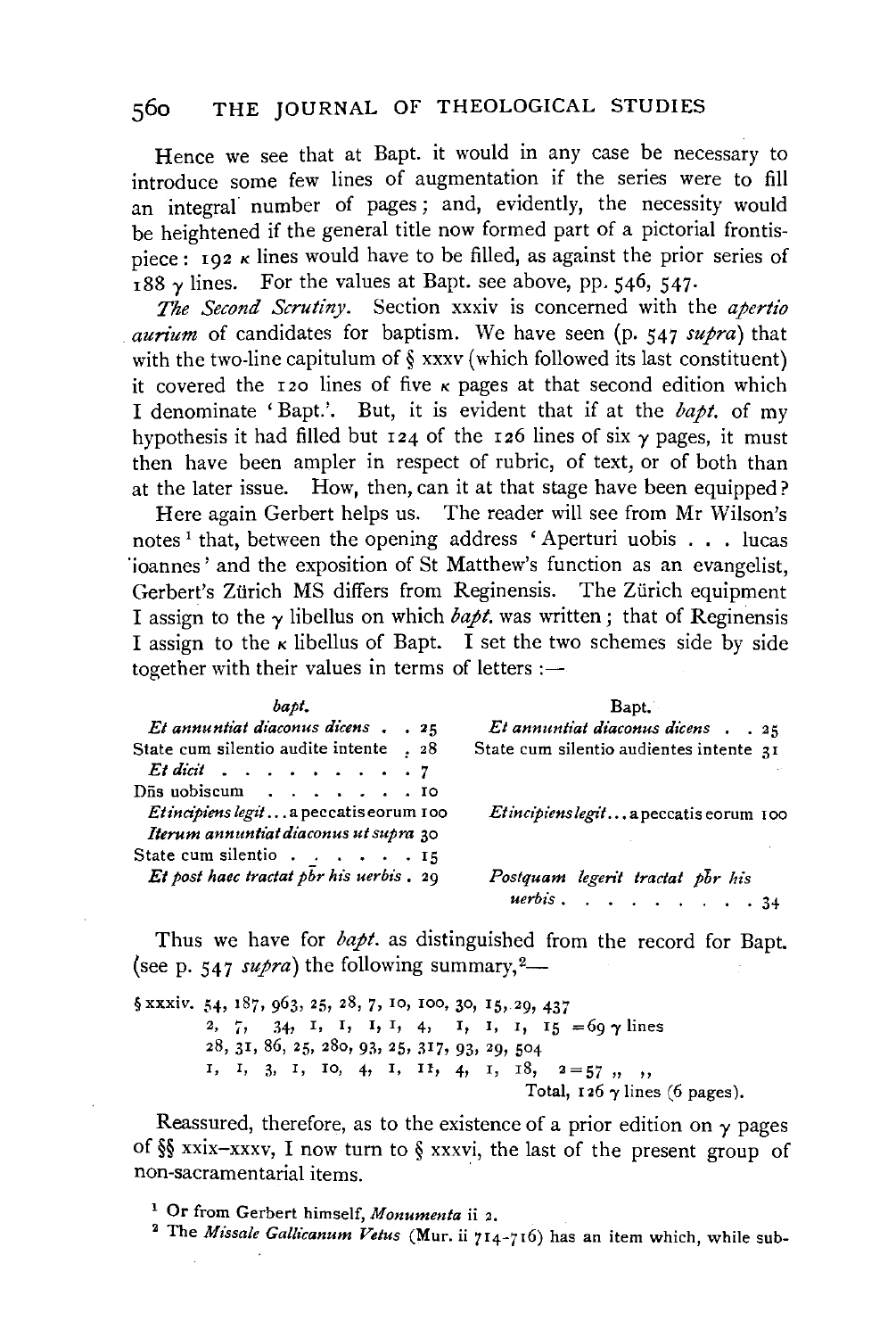Hence we see that at Bapt. it would in any case be necessary to introduce some few lines of augmentation if the series were to fill an integral number of pages; and, evidently, the necessity would be heightened if the general title now formed part of a pictorial frontispiece:  $ig_2$  k lines would have to be filled, as against the prior series of  $\frac{1}{188}$  *y* lines. For the values at Bapt. see above, pp. 546, 547.

*The Second Scrutiny.* Section xxxiv is concerned with the *apertio aurium* of candidates for baptism. We have seen (p. 547 *supra)* that with the two-line capitulum of § xxxv (which followed its last constituent) it covered the 120 lines of five  $\kappa$  pages at that second edition which I denominate 'Bapt.'. But, it is evident that if at the *bapt.* of my hypothesis it had filled but  $124$  of the 126 lines of six  $\gamma$  pages, it must then have been ampler in respect of rubric, of text, or of both than at the later issue. How, then, can it at that stage have been equipped?

Here again Gerbert helps us. The reader will see from Mr Wilson's notes<sup>1</sup> that, between the opening address 'Aperturi uobis . . . lucas 'ioannes' and the exposition of St Matthew's function as an evangelist, Gerbert's Zürich MS differs from Reginensis. The Zürich equipment I assign to the  $\gamma$  libellus on which *bapt*, was written; that of Reginensis I assign to the  $\kappa$  libellus of Bapt. I set the two schemes side by side together with their values in terms of letters  $:$   $-$ 

| bapi.                                                   | Bapt.                                   |  |  |  |
|---------------------------------------------------------|-----------------------------------------|--|--|--|
| $Et$ annuntiat diaconus dicens $. 25$                   | Et annuntiat diaconus dicens 25         |  |  |  |
| State cum silentio audite intente . 28                  | State cum silentio audientes intente 31 |  |  |  |
| $Et$ dicit $\ldots$ , $\ldots$ , $\ldots$               |                                         |  |  |  |
| Dñs uobiscum $\cdot \cdot \cdot \cdot \cdot \cdot$ . To |                                         |  |  |  |
| Etincipiens legita peccatis eorum 100                   | Etincipienslegita peccatis eorum 100    |  |  |  |
| Iterum annuntiat diaconus ut supra 30                   |                                         |  |  |  |
| State cum silentio $\cdots$ $\cdots$ $\cdots$ 15        |                                         |  |  |  |
| Et post haec tractat p $\overline{b}$ r his uerbis. 29  | Postquam legerit tractat por his        |  |  |  |
|                                                         | $uerbis \ldots \ldots \ldots \ldots 34$ |  |  |  |

Thus we have for *bapt*. as distinguished from the record for Bapt. (see p.  $547 \frac{supra}{max}$ ) the following summary,<sup>2</sup>-

 $$$  xxxiv.  $54$ , 187, 963, 25, 28, 7, 10, 100, 30, 15, 29, 437 2, 7, 34, 1, 1, 1, 1, 4, 1, 1, 1, 1,  $\frac{1}{15} = 69 \text{ y lines}$ 28, 31, 86, 25, 28o, 93, 25, 317, 93, 29, 504 I, I, 3, I, IO, 4, I, II, 4, I, I8,  $2=57$ , , Total,  $126 \gamma$  lines (6 pages).

Reassured, therefore, as to the existence of a prior edition on *y* pages of§§ xxix-xxxv, I now turn to § xxxvi, the last of the present group of non-sacramentarial items. ·

1 Or from Gerbert himself, *Monumenta* ii 2.

2 The *Missale Gallicanum Vetus* (Mur. ii 714-716) has an item which, while sub-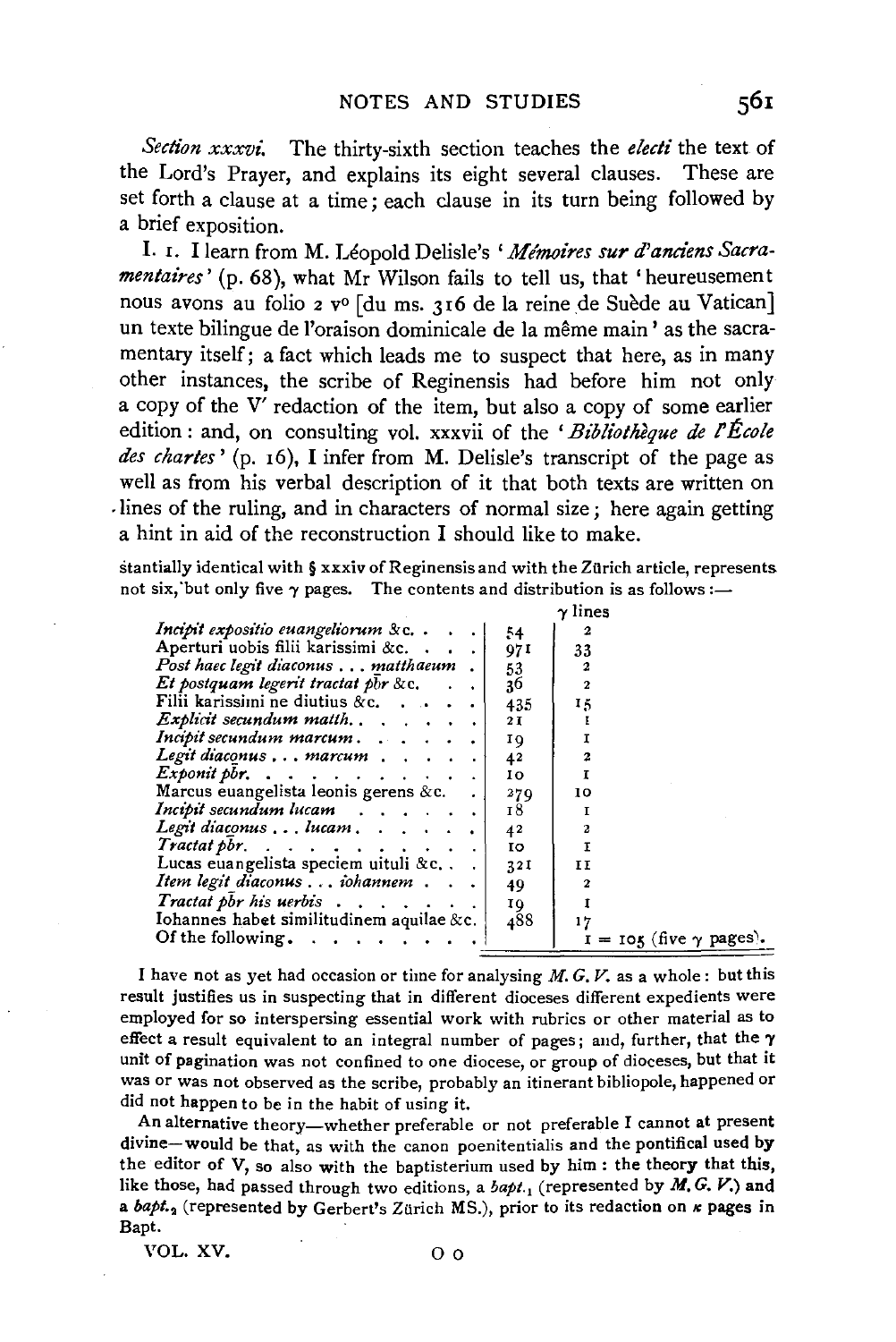*Section xxxvz:* The thirty-sixth section teaches the *electi* the text of the Lord's Prayer, and explains its eight several clauses. These are set forth a clause at a time; each clause in its turn being followed by a brief exposition.

I. r. I learn from M. Leopold Delisle's *'Me'moires surd' andens Sacramentaires'* (p. 68), what Mr Wilson fails to tell us, that 'heureusement nous avons au folio 2 v<sup>o</sup> [du ms. 316 de la reine de Suède au Vatican] un texte bilingue de l'oraison dominicale de la même main' as the sacramentary itself; a fact which leads me to suspect that here, as in many other instances, the scribe of Reginensis had before him not only a copy of the V' redaction of the item, but also a copy of some earlier edition : and, on consulting vol. xxxvii of the 'Bibliothèque de l'École *des chartes'* (p. r6), I infer from M. Delisle's transcript of the page as well as from his verbal description of it that both texts are written on -lines of the ruling, and in characters of normal size ; here again getting a hint in aid of the reconstruction I should like to make.

stantially identical with § xxxiv of Reginensis and with the Zurich article, represents not six, but only five  $\gamma$  pages. The contents and distribution is as follows:-

|                                                     |           | $\gamma$ lines                   |
|-----------------------------------------------------|-----------|----------------------------------|
| Incipit expositio euangeliorum & c.                 | 54        | 2                                |
| Aperturi uobis filii karissimi &c                   | 97 I      | 33                               |
| Post haec legit diaconus  matthaeum.                | 53        |                                  |
| Et postquam legerit tractat pbr &c.                 | 36        |                                  |
| Filii karissimi ne diutius $\&c$                    | 435       | 15                               |
| <i>Explicit secundum matth.</i> $\ldots$ , $\ldots$ | 2 I       |                                  |
| Incipit secundum marcum                             | ΙQ        |                                  |
| Legit diaconus  marcum                              | 42        | $\overline{a}$                   |
| <i>Exponit pbr.</i>                                 | 10.       | 1                                |
| Marcus euangelista leonis gerens &c.                | 279       | 10                               |
| Incipit secundum lucam                              | 18        |                                  |
| Legit diaconus  lucam                               | 42        | 2                                |
| Tractat pbr. $\ldots$ , $\ldots$ , $\ldots$         | <b>IO</b> |                                  |
| Lucas euangelista speciem uituli &c. $\ldots$       | 321       | ŦΤ                               |
| Item legit diaconus  iohannem                       | 49        |                                  |
| Tractat pbr his uerbis                              | 10        |                                  |
| Iohannes habet similitudinem aquilae $&c.$          | 488       | 17                               |
| Of the following.                                   |           | $I = IOK$ (five $\gamma$ pages). |
|                                                     |           |                                  |

I have not as yet had occasion or time for analysing  $M$ . G,  $V$ , as a whole : but this result justifies us in suspecting that in different dioceses different expedients were employed for so interspersing essential work with rubrics or other material as to effect a result equivalent to an integral number of pages; and, further, that the  $\gamma$ unit of pagination was not confined to one diocese, or group of dioceses, but that it was or was not observed as the scribe, probably an itinerant bibliopole, happened or did not happen to be in the habit of using it.

An alternative theory-whether preferable or not preferable I cannot at present divine-would be that, as with the canon poenitentialis and the pontifical used by the editor of V, so also with the baptisterium used by him : the theory that this, like those, had passed through two editions, a *bapt.,* (represented by *M. G.* V.) and a *bapt.*<sub>2</sub> (represented by Gerbert's Zürich MS.), prior to its redaction on *k* pages in Bapt.

VOL. XV. 0 o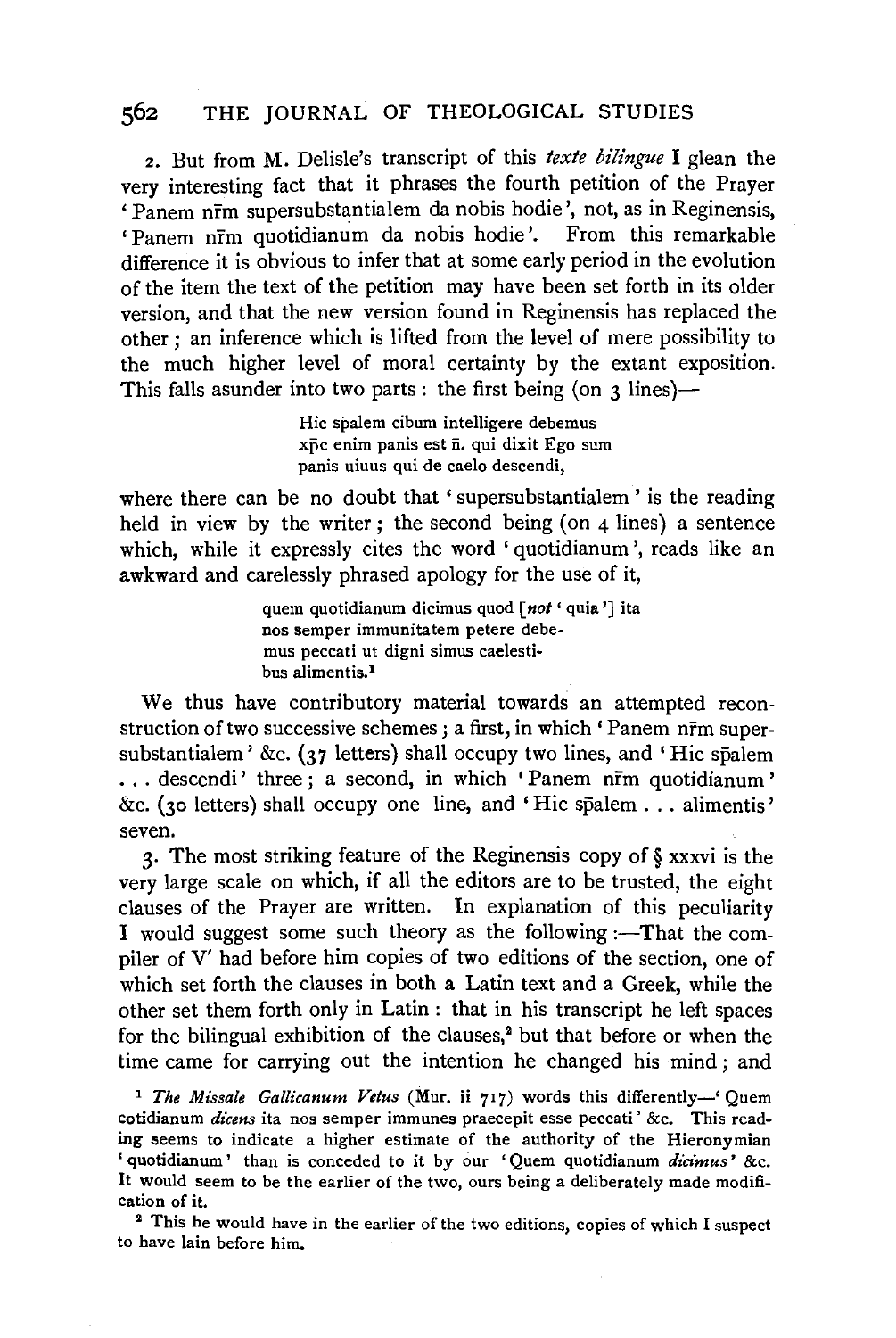2. But from M. Delisle's transcript of this *texte bilingue* I glean the very interesting fact that it phrases the fourth petition of the Prayer 'Panem nrm supersubstantialem da nobis hodie', not, as in Reginensis. 'Panem nrm quotidianum da nobis hodie'. From this remarkable difference it is obvious to infer that at some early period in the evolution of the item the text of the petition may have been set forth in its older version, and that the new version found in Reginensis has replaced the other ; an inference which is lifted from the level of mere possibility to the much higher level of moral certainty by the extant exposition. This falls asunder into two parts: the first being (on  $\alpha$  lines)—

> Hic spalem cibum intelligere debemus xpc enim panis est  $\bar{n}$ . qui dixit Ego sum panis uiuus qui de caelo descendi,

where there can be no doubt that 'supersubstantialem' is the reading held in view by the writer; the second being (on 4 lines) a sentence which, while it expressly cites the word 'quotidianum', reads like an awkward and carelessly phrased apology for the use of it,

> quem quotidianum dicimus quod *[not* ' quia'] ita nos semper immunitatem petere debemus peccati ut digni simus caelestibus alimentis.<sup>1</sup>

We thus have contributory material towards an attempted reconstruction of two successive schemes; a first, in which 'Panem nrm supersubstantialem' &c. (37 letters) shall occupy two lines, and 'Hic spalem ... descendi' three ; a second, in which 'Panem nrm quotidianum' &c. (30 letters) shall occupy one line, and 'Hie spalem ... alimentis' seven.

3· The most striking feature of the Reginensis copy of § xxxvi is the very large scale on which, if all the editors are to be trusted, the eight clauses of the Prayer are written. In explanation of this peculiarity I would suggest some such theory as the following :- That the compiler of V' had before him copies of two editions of the section, one of which set forth the clauses in both a Latin text and a Greek, while the other set them forth only in Latin : that in his transcript he left spaces for the bilingual exhibition of the clauses, $<sup>2</sup>$  but that before or when the</sup> time came for carrying out the intention he changed his mind ; and

<sup>1</sup> The Missale Gallicanum Vetus (Mur. ii 717) words this differently-' Quem cotidianum *dicens* ita nos semper immunes praecepit esse peccati' &c. This reading seems to indicate a higher estimate of the authority of the Hieronymian ' quotidianum' than is conceded to it by our 'Quem quotidianum *dicimus'* &c. It would seem to be the earlier of the two, ours being a deliberately made modification of it.<br>2 This he would have in the earlier of the two editions, copies of which I suspect

to have lain before him.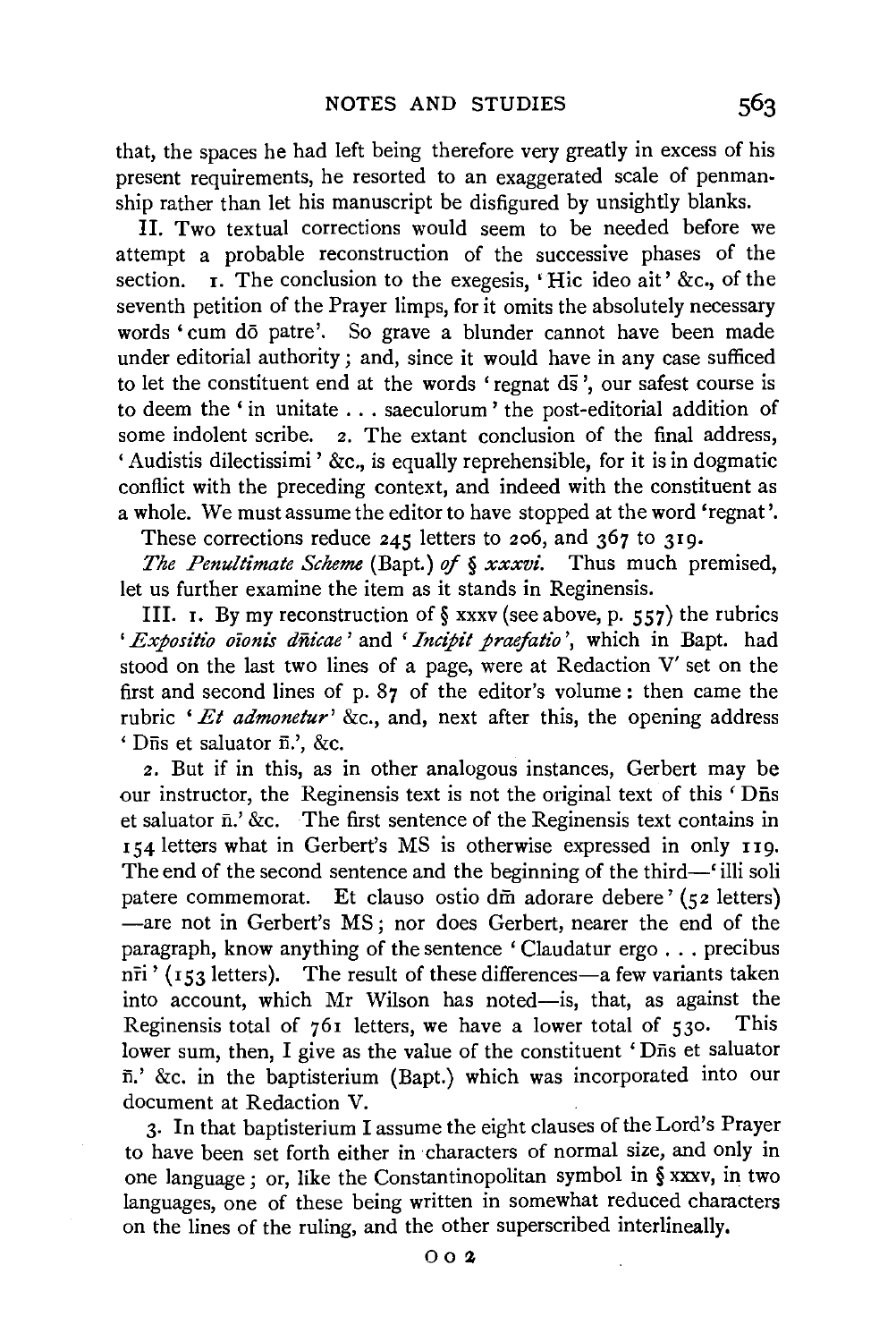that, the spaces he had left being therefore very greatly in excess of his present requirements, he resorted to an exaggerated scale of penmanship rather than let his manuscript be disfigured by unsightly blanks.

II. Two textual corrections would seem to be needed before we attempt a probable reconstruction of the successive phases of the section.  $\overline{\mathbf{I}}$ . The conclusion to the exegesis, 'Hic ideo ait' &c., of the seventh petition of the Prayer limps, for it omits the absolutely necessary words 'cum dō patre'. So grave a blunder cannot have been made under editorial authority ; and, since it would have in any case sufficed to let the constituent end at the words 'regnat  $d\bar{s}$ ', our safest course is to deem the ' in unitate ... saeculorum ' the post-editorial addition of some indolent scribe. 2. The extant conclusion of the final address, ' Audistis dilectissimi ' &c., is equally reprehensible, for it is in dogmatic conflict with the preceding context, and indeed with the constituent as a whole. We must assume the editor to have stopped at the word 'regnat '.

These corrections reduce 245 letters to 206, and 367 to 319.

*The Penultimate Scheme* (Bapt.) of § *xxxvi.* Thus much premised, let us further examine the item as it stands in Reginensis.

III. **1.** By my reconstruction of  $\S$  xxxv (see above, p. 557) the rubrics ' Expositio oionis dnicae' and 'Incipit praefatio', which in Bapt. had stood on the last two lines of a page, were at Redaction V' set on the first and second lines of p. 87 of the editor's volume : then came the rubric *'Et admonetur'* &c., and, next after this, the opening address ' Dns et saluator ii.', &c.

2. But if in this, as in other analogous instances, Gerbert may be our instructor, the Reginensis text is not the original text of this 'Dns et saluator n.' &c. The first sentence of the Reginensis text contains in r 54 letters what in Gerbert's MS is otherwise expressed in only 119. The end of the second sentence and the beginning of the third—' illi soli patere commemorat. Et clauso ostio d $\overline{m}$  adorare debere' (52 letters) -are not in Gerbert's MS ; nor does Gerbert, nearer the end of the paragraph, know anything of the sentence ' Claudatur ergo ... precibus  $n\overline{r}$ i' (153 letters). The result of these differences—a few variants taken into account, which Mr Wilson has noted-is, that, as against the Reginensis total of  $76i$  letters, we have a lower total of  $530$ . This lower sum, then, I give as the value of the constituent 'Dns et saluator  $\bar{n}$ .' &c. in the baptisterium (Bapt.) which was incorporated into our document at Redaction V.

3· In that baptisterium I assume the eight clauses of the Lord's Prayer to have been set forth either in characters of normal size, and only in one language ; or, like the Constantinopolitan symbol in § xxxv, in two languages, one of these being written in somewhat reduced characters on the lines of the ruling, and the other superscribed interlineally.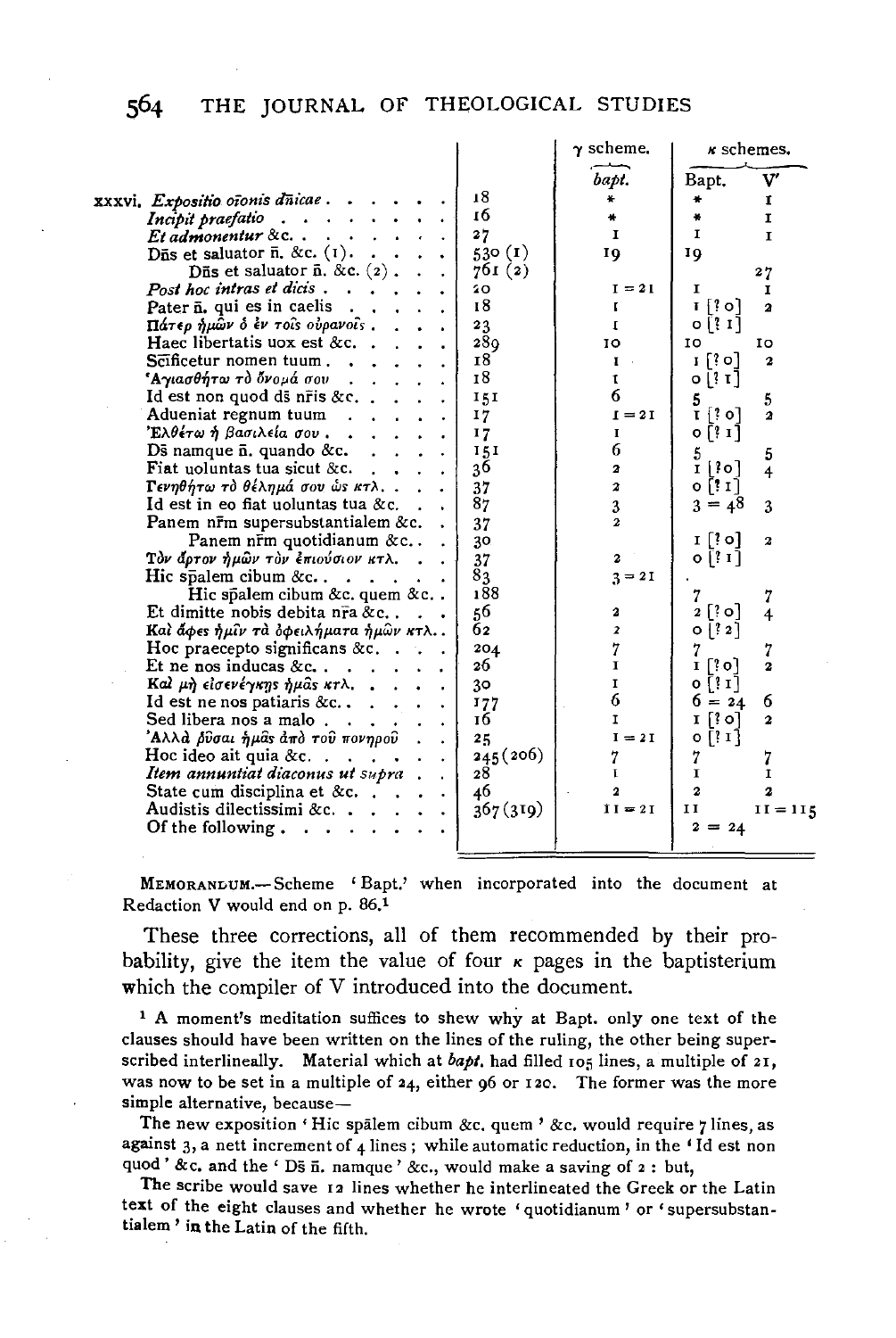|                                                                                 |           | $\gamma$ scheme.             | <i>k</i> schemes.                                         |                              |
|---------------------------------------------------------------------------------|-----------|------------------------------|-----------------------------------------------------------|------------------------------|
|                                                                                 |           | bapt.                        | Bapt.                                                     | v                            |
| xxxvi, Expositio oīonis dūicae.                                                 | 18        | ₩                            |                                                           | 1                            |
| Incipit praefatio<br>$\mathbf{r} = \mathbf{r} \times \mathbf{r}$<br>$\bullet$ . | 16        |                              | ×                                                         | I                            |
| $Et$ admonentur & c. $\ldots$<br>$\sim 100$                                     | 27        | $\mathbf{I}$                 | 1                                                         | I                            |
| Dñs et saluator $\bar{n}$ . &c. $(1)$ .                                         | 530 $(1)$ | 10                           | 10                                                        |                              |
| Dñs et saluator $\bar{n}$ . &c. $(2)$ .                                         | 761(2)    |                              |                                                           | 27                           |
| Post hoc intras et dicis.                                                       | 20        | $I = 2I$                     | 1                                                         | 1                            |
| Pater $\bar{\mathbf{n}}$ , qui es in caelis.                                    | 18        | г                            | ī [? o]                                                   | $\overline{\mathbf{a}}$      |
| Πάτερ ήμῶν ὁ ἐν τοῖs οὐρανοῖs .                                                 | 23        | 1                            | $0$ $[31]$                                                |                              |
| Haec libertatis uox est &c                                                      | 280       | 10                           | 10                                                        | ΙO                           |
| $S\bar{c}$ ificetur nomen tuum                                                  | 18        | $\mathbf{I}$ .               | [0 }] 1                                                   | 2                            |
| *Αγιασθήτω τὸ ὄνομά σου   .   .                                                 | 18        | t                            | $\left[ \begin{array}{c} 2 \\ 1 \end{array} \right]$<br>۰ |                              |
| Id est non quod ds nr̃is &c                                                     | 151       | 6                            | 5                                                         | 5                            |
| Adueniat regnum tuum<br>¥.                                                      | 17        | $I = 2I$                     | $\mathbf{I}$ $\{$ ? o]                                    | $\overline{\mathbf{a}}$      |
| Έλθέτω ή βασιλεία σου .                                                         | 17        | I                            | $0$ $[3]$ $1]$                                            |                              |
| $\overline{\mathrm{D}}$ s namque $\overline{\mathrm{n}}$ . quando &c.<br>$\sim$ | 151       | 6                            | 5                                                         | 5                            |
| Fiat uoluntas tua sicut &c.<br>a in                                             | 36        | $\mathbf{a}$                 | 1   ? o ]                                                 | $\overline{4}$               |
| Γενηθήτω τὸ θέλημά σου ὡς κτλ<br>$\bullet$                                      | 37        | $\boldsymbol{z}$             | 0 [! I ]                                                  |                              |
| Id est in eo fiat uoluntas tua &c.                                              | 87        | 3                            | $3 = 48$                                                  | 3                            |
| Panem nrm supersubstantialem &c.                                                | 37        | $\mathbf{z}$                 |                                                           |                              |
| Panem n $\bar{r}$ m quotidianum & c                                             | 30        |                              | I[30]                                                     | 2                            |
| Τὸν ἄρτον ἡμῶν τὸν ἐπιούσιον κτλ.                                               | 37        | $\mathbf{z}$                 | 0 [? I]                                                   |                              |
| Hic spalem cibum $&c$                                                           | 83<br>188 | $3 = 21$                     |                                                           |                              |
| Hic spalem cibum &c. quem &c                                                    |           |                              | 7                                                         | 7                            |
| Et dimitte nobis debita nra &c                                                  | 56<br>62  | 2<br>$\overline{\mathbf{z}}$ | $2$ $\lceil$ $\cdot$ 0 $\rceil$<br>$\{?2\}$               | $\overline{\mathbf{4}}$      |
| Και άφες ημίν τα οφειλήματα ήμων κτλ                                            |           |                              | ۰                                                         |                              |
| Hoc praecepto significans $&c.$ .<br>Et ne nos inducas &c                       | 204<br>26 | 7<br>I                       | I [?0]                                                    | 7<br>$\overline{\mathbf{z}}$ |
| Καλ μη είσενέγκης ήμας κτλ                                                      | 30        | I                            | $0$ $[11]$                                                |                              |
|                                                                                 |           | 6                            | $6 = 24$                                                  | 6                            |
| Id est ne nos patiaris $&c.$<br>Sed libera nos a malo $\ldots$ .                | 177<br>16 | 1                            | $\lceil$ o $\rceil$<br>1                                  | $\mathbf{2}$                 |
| 'Αλλά <i>β</i> ῦσαι ἡμᾶs ἀπὸ τοῦ πονηροῦ<br>$\ddot{\phantom{a}}$                | 25        | $I = 2I$                     | o [? 1]                                                   |                              |
| Hoc ideo ait quia &c. $\ldots$ .<br>$\bullet$                                   | 245 (206) | 7                            | 7                                                         | 7                            |
| Item annuntiat diaconus ut supra).                                              | 28        | L                            | I                                                         | 1                            |
| State cum disciplina et &c. $\ldots$ .                                          | 46        | 2                            | $\overline{a}$                                            | 2                            |
| Audistis dilectissimi &c.                                                       | 367(319)  | $II = 2I$                    | 11                                                        | $II = II5$                   |
| Of the following.                                                               |           |                              | $2 = 24$                                                  |                              |
|                                                                                 |           |                              |                                                           |                              |
|                                                                                 |           |                              |                                                           |                              |

MEMORANLUM.-Scheme 'Bapt.' when incorporated into the document at Redaction V would end on p. 86.1

These three corrections, all of them recommended by their probability, give the item the value of four  $\kappa$  pages in the baptisterium which the compiler of V introduced into the document.

<sup>1</sup> A moment's meditation suffices to shew why at Bapt. only one text of the clauses should have been written on the lines of the ruling, the other being superscribed interlineally. Material which at *bapt.* had filled I05 lines, a multiple of 21, was now to be set in a multiple of 24, either 96 or I20. The former was the more simple alternative, because-

The new exposition 'Hic spalem cibum &c. quem ' &c. would require  $\eta$  lines, as against 3, a nett increment of 4 lines ; while automatic reduction, in the 'Id est non quod' &c. and the ' Ds  $\bar{n}$ . namque' &c., would make a saving of  $2:$  but,

The scribe would save 12 lines whether he interlineated the Greek or the Latin text of the eight clauses and whether he wrote 'quotidianum' or 'supersubstantialem ' in the Latin of the fifth.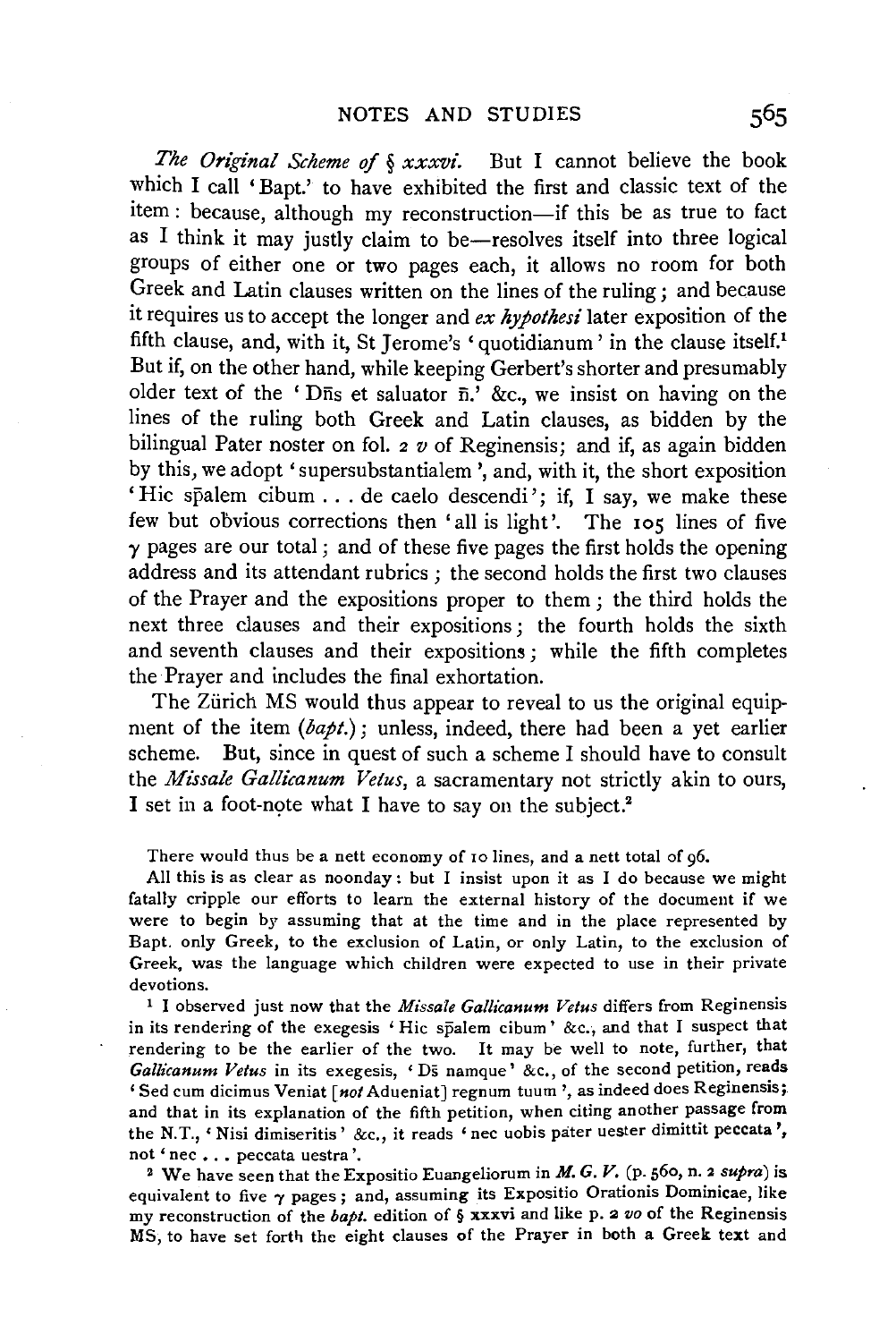*The Original Scheme of § xxxvi.* But I cannot believe the book which I call 'Bapt.' to have exhibited the first and classic text of the item : because, although my reconstruction-if this be as true to fact as I think it may justly claim to be-resolves itself into three logical groups of either one or two pages each, it allows no room for both Greek and Latin clauses written on the lines of the ruling ; and because it requires us to accept the longer and *ex hypothesi'* later exposition of the fifth clause, and, with it, St Jerome's 'quotidianum' in the clause itself.<sup>1</sup> But if, on the other hand, while keeping Gerbert's shorter and presumably older text of the 'Dns et saluator  $\overline{n}$ .' &c., we insist on having on the lines of the ruling both Greek and Latin clauses, as bidden by the bilingual Pater noster on fol. 2 *v* of Reginensis; and if, as again bidden by this, we adopt 'supersubstantialem ', and, with it, the short exposition 'Hic spalem cibum . . . de caelo descendi'; if, I say, we make these few but obvious corrections then 'all is light'. The 105 lines of five  $\gamma$  pages are our total; and of these five pages the first holds the opening address and its attendant rubrics ; the second holds the first two clauses of the Prayer and the expositions proper to them ; the third holds the next three clauses and their expositions ; the fourth holds the sixth and seventh clauses and their expositions; while the fifth completes the Prayer and includes the final exhortation.

The Zürich MS would thus appear to reveal to us the original equipment of the item *(bapt.);* unless, indeed, there had been a yet earlier scheme. But, since in quest of such a scheme I should have to consult the *Missale Gallicanum Vetus*, a sacramentary not strictly akin to ours, I set in a foot-note what I have to say on the subject.<sup>2</sup>

There would thus be a nett economy of ro lines, and a nett total of 96.

All this is as clear as noonday : but I insist upon it as I do because we might fatally cripple our efforts to learn the external history of the document if we were to begin by assuming that at the time and in the place represented by Bapt. only Greek, to the exclusion of Latin, or only Latin, to the exclusion of Greek, was the language which children were expected to use in their private devotions. 1 I observed just now that the *Missale Gallicanum Vetus* differs from Reginensis

in its rendering of the exegesis 'Hie spalem cibum' &c., and that I suspect that rendering to be the earlier of the two. It may be well to note, further, that *Gallicanum Vetus* in its exegesis, 'Ds namque' &c., of the second petition, reads 'Sed cum dicimus Veniat *[not* Adueniat] regnum tuum', as indeed does Reginensis; and that in its explanation of the fifth petition, when citing another passage from the N.T., 'Nisi dimiseritis' &c., it reads 'nee uobis pater uester dimittit peccata ', not 'nec ... peccata uestra'.

2 We have seen that the Expositio Euangeliorum in *M. G. V.* (p. 560, n. 2 *supra)* is equivalent to five  $\gamma$  pages; and, assuming its Expositio Orationis Dominicae, like my reconstruction of the *bapl.* edition of § xxxvi and like p. 2 *vo* of the Reginensis MS, to have set forth the eight clauses of the Prayer in both a Greek text and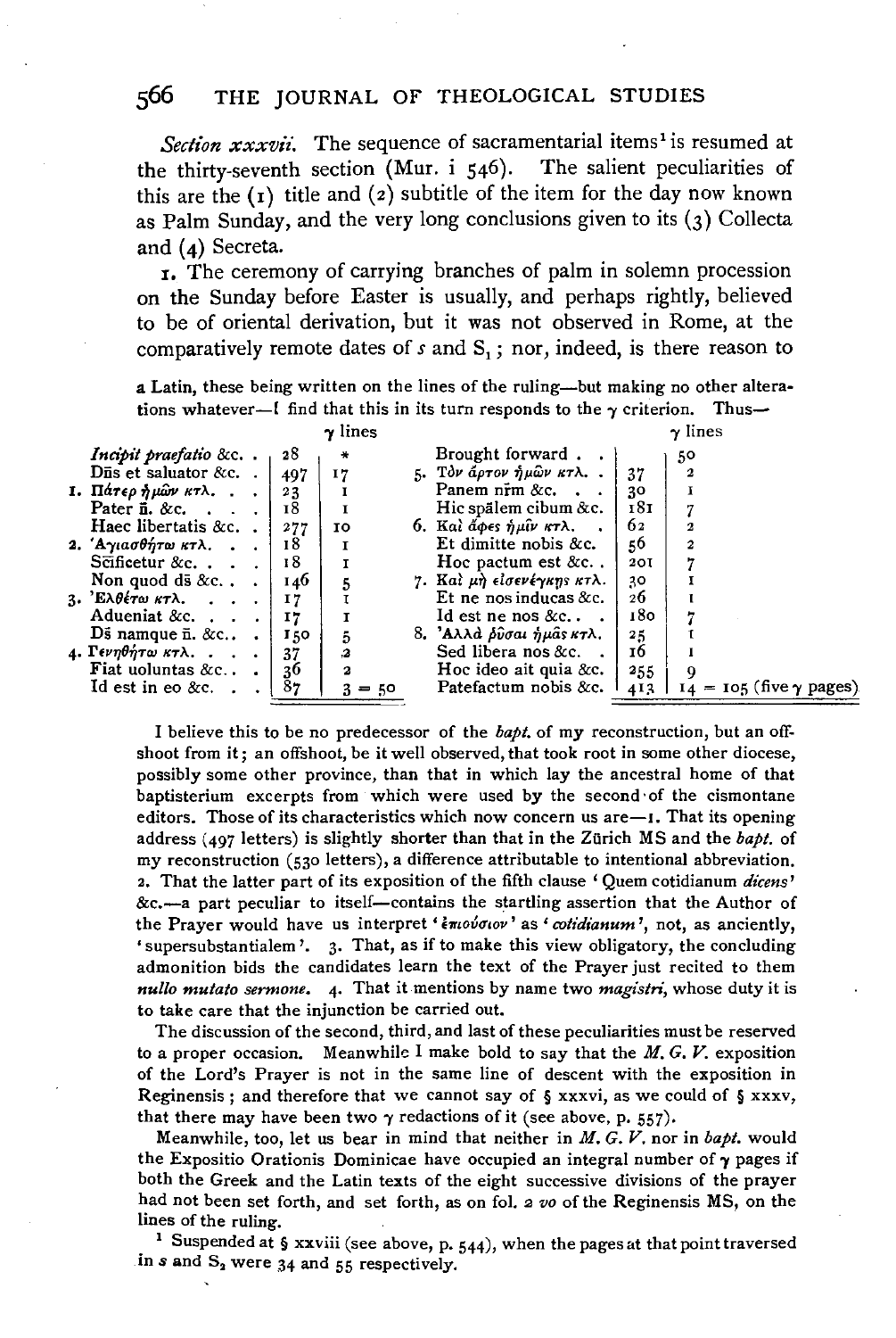*Section*  $xxxxii$ *.* The sequence of sacramentarial items<sup>1</sup> is resumed at e-thirty-seventh section (Mur. i  $546$ ). The salient peculiarities of the thirty-seventh section (Mur. i  $546$ ). this are the ( **1)** title and ( 2) subtitle of the item for the day now known as Palm Sunday, and the very long conclusions given to its (3) Collecta and **(4)** Secreta.

<sup>1</sup> , The ceremony of carrying branches of palm in solemn procession on the Sunday before Easter is usually, and perhaps rightly, believed to be of oriental derivation, but it was not observed in Rome, at the comparatively remote dates of  $s$  and  $S<sub>1</sub>$ ; nor, indeed, is there reason to

a Latin, these being written on the lines of the ruling-but making no other alterations whatever--[ find that this in its turn responds to the  $\gamma$  criterion. Thus--

|                                        |     | $\gamma$ lines          |                                  |            | $\gamma$ lines                   |
|----------------------------------------|-----|-------------------------|----------------------------------|------------|----------------------------------|
| Incipit praefatio &c                   | 28  | ∗                       | Brought forward.                 |            | 50                               |
| $\overline{\text{Dis}}$ et saluator &c | 497 | 17                      | 5. Τον άρτον ήμων κτλ            | 37         | 2                                |
| 1. Πάτερ ήμων κτλ                      | 23  |                         | Panem n $\mathbf{\bar{r}}$ m &c. | 30         |                                  |
| Pater $\overline{n}$ . &c.             | 18  | I                       | Hic spälem cibum &c.             | 181        |                                  |
| Haec libertatis &c. $\cdot$            | 277 | 10                      | 6. Και άφες ήμιν κτλ             | 62         |                                  |
| 2. 'Αγιασθήτω κτλ.                     | 18  | I                       | Et dimitte nobis &c.             | 50         | 2                                |
| $S\bar{c}$ ificetur &c                 | 18  | I                       | Hoc pactum est &c                | <b>20I</b> |                                  |
| Non quod ds &c                         | 146 | 5                       | 7. Καὶ μὴ εἰσενέγκης κτλ.        | 30         |                                  |
| 3. Έλθέτω κτλ. $\blacksquare$ .        | 17  |                         | Et ne nos inducas $&c.$          | 26         |                                  |
| Adueniat &c. $\ldots$                  | 17  | I                       | $1d$ est ne nos &c               | 180        |                                  |
| Ds namque $\overline{n}$ . &c          | 150 | 5                       | 8. 'Αλλά <i>δύσαι ήμας κτ</i> λ. | $^{25}$    |                                  |
| 4. Γενηθήτω κτλ.                       | 37  | $\boldsymbol{3}$        | Sed libera nos &c.               | 16         |                                  |
| Fiat uoluntas $&c.$ .                  | 36  | $\overline{\mathbf{a}}$ | Hoc ideo ait quia & $c$ .        | 255        | Q                                |
| Id est in eo $&c.$                     | 87  | 3<br>$= 50$             | Patefactum nobis &c.             | 413        | $14 = 105$ (five $\gamma$ pages) |
|                                        |     |                         |                                  |            |                                  |

I believe this to be no predecessor of the *bapt.* of my reconstruction, but an offshoot from it; an offshoot, be it well observed, that took root in some other diocese, possibly some other province, than that in which lay the ancestral home of that baptisterium excerpts from which were used by the second ·of the cismontane editors. Those of its characteristics which now concern us  $are -1$ . That its opening address (497 letters) is slightly shorter than that in the Zürich MS and the *bapt*. of my reconstruction (530 letters), a difference attributable to intentional abbreviation. 2. That the latter part of its exposition of the fifth clause ' Quem cotidianum *dicens'*  &c.-a part peculiar to itself-contains the startling assertion that the Author of the Prayer would have us interpret ' *inovotov'* as ' *cotidianum'*, not, as anciently, 'supersubstantialem'. 3. That, as if to make this view obligatory, the concluding admonition bids the candidates learn the text of the Prayer just recited to them *nullo mutato sermone.* 4· That it mentions by name two *magistri,* whose duty it is to take care that the injunction be carried out.

The discussion of the second, third, and last of these peculiarities must be reserved to a proper occasion. Meanwhile I make bold to say that the  $M$ , G, V. exposition of the Lord's Prayer is not in the same line of descent with the exposition in Reginensis; and therefore that we cannot say of  $\S$  xxxvi, as we could of  $\S$  xxxv, that there may have been two  $\gamma$  redactions of it (see above, p. 557).

Meanwhile, too, let us bear in mind that neither in *M. G. V.* nor in *bapt.* would the Expositio Orationis Dominicae have occupied an integral number of  $\gamma$  pages if both the Greek and the Latin texts of the eight successive divisions of the prayer had not been set forth, and set forth, as on fol. 2 vo of the Reginensis MS, on the lines of the ruling.<br><sup>1</sup> Suspended at § xxviii (see above, p. 544), when the pages at that point traversed

in  $s$  and  $S_2$  were  $34$  and  $55$  respectively.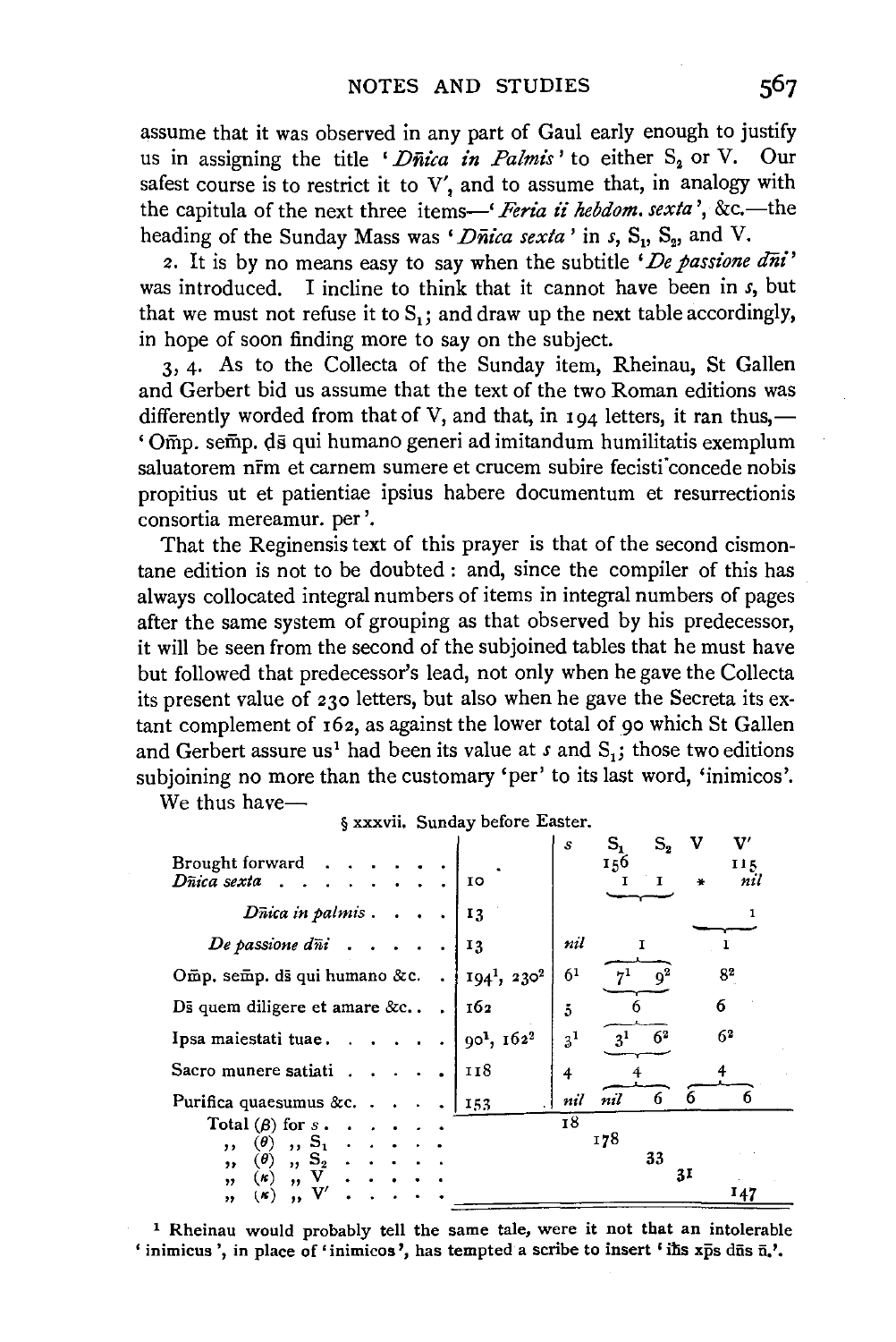assume that it was observed in any part of Gaul early enough to justify us in assigning the title 'Dnica in Palmis' to either  $S_2$  or V. Our safest course is to restrict it to V', and to assume that, in analogy with the capitula of the next three items-' *Feria* ii *hebdom. sexta* ', &c.-the heading of the Sunday Mass was *'Dnica sexta'* in *s*, S<sub>1</sub>, S<sub>2</sub>, and V.

2. It is by no means easy to say when the subtitle *'De passione ani'*  was introduced. I incline to think that it cannot have been in *s,* but that we must not refuse it to  $S_1$ ; and draw up the next table accordingly, in hope of soon finding more to say on the subject.

3, 4· As to the Collecta of the Sunday item, Rheinau, St Gallen and Gerbert bid us assume that the text of the two Roman editions was differently worded from that of V, and that, in  $194$  letters, it ran thus,— ' Omp. semp. ds qui humano generi ad imitandum humilitatis exemplum saluatorem nrm et carnem sumere et crucem subire fecisti concede nobis propitius ut et patientiae ipsius habere documentum et resurrectionis consortia mereamur. per'.

That the Reginensis text of this prayer is that of the second cismontane edition is not to be doubted : and, since the compiler of this has always collocated integral numbers of items in integral numbers of pages after the same system of grouping as that observed by his predecessor, it will be seen from the second of the subjoined tables that he must have but followed that predecessor's lead, not only when he gave the Collecta its present value of 230 letters, but also when he gave the Secreta its extant complement of 162, as against the lower total of 90 which St Gallen and Gerbert assure us<sup>1</sup> had been its value at s and  $S_1$ ; those two editions subjoining no more than the customary 'per' to its last word, 'inimicos'.

§ xxxvii. Sunday before Easter.

We thus have-

|                                            |                                    | s              | s,             | $S_{2}$        | v<br>v |
|--------------------------------------------|------------------------------------|----------------|----------------|----------------|--------|
| Brought forward                            |                                    |                | 156            |                | 115    |
| Dñica sexta                                | 10                                 |                |                | т              | nil    |
|                                            |                                    |                |                |                |        |
|                                            |                                    |                |                |                |        |
| $D\bar{n}$ ica in palmis                   | 13                                 |                |                |                |        |
|                                            |                                    |                |                |                |        |
| De passione $d\bar{n}$ <b>i</b> $\ldots$ . | 13                                 | nil            |                |                |        |
|                                            |                                    |                |                |                |        |
| Omp. semp. ds qui humano &c.               | $194^1$ , $230^2$                  | 6 <sup>1</sup> |                |                | 82     |
|                                            |                                    |                |                |                |        |
| Ds quem diligere et amare $&c.$ .          | 162                                | 5              |                |                | 6      |
|                                            |                                    |                |                |                |        |
| Ipsa maiestati tuae                        | 90 <sup>1</sup> , 162 <sup>2</sup> | $3^{1}$        | 3 <sup>1</sup> | 6 <sup>2</sup> | 62     |
|                                            |                                    |                |                |                |        |
| Sacro munere satiati.                      | 118                                | 4              |                |                |        |
|                                            |                                    |                |                |                |        |
| Purifica quaesumus &c                      | 153                                | nil            | nil            | 6              | 6      |
|                                            |                                    | 18             |                |                |        |
| Total $(\beta)$ for s.                     |                                    |                |                |                |        |
| $, S_1$<br>$(\theta)$<br>,,                |                                    |                | 178            |                |        |
| $(\theta)$<br>$, S_2$<br>$, \,$            |                                    |                | 33             |                |        |
| (x)<br>$\overline{ }$<br>, ,               |                                    |                |                | 31             |        |
| (K)                                        |                                    |                |                |                | 147    |
| ,,<br>"                                    |                                    |                |                |                |        |

1 Rheinau would probably tell the same tale, were it not that an intolerable 'inimicus', in place of 'inimicos', has tempted a scribe to insert 'ilis  $x\bar{p}s$  dūs  $\bar{n}$ .'.